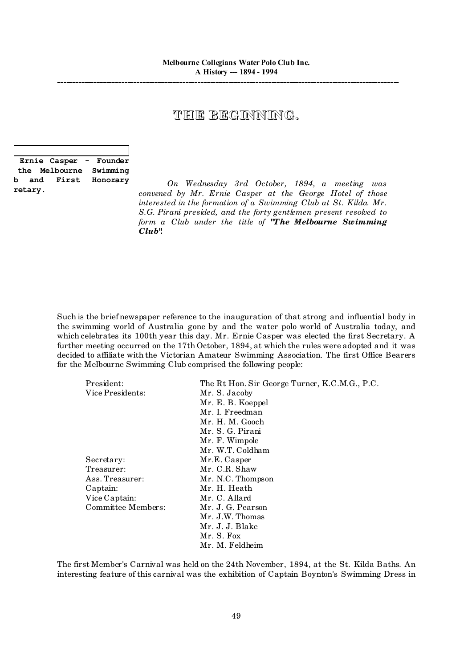## THE BEGINNING.

|    |         | Ernie Casper - Founder |
|----|---------|------------------------|
|    |         | the Melbourne Swimming |
| b. |         | and First Honorary     |
|    | retary. |                        |

*On Wednesday 3rd October, 1894, a meeting was convened by Mr. Ernie Casper at the George Hotel of those interested in the formation of a Swimming Club at St. Kilda. Mr. S.G. Pirani presided, and the forty gentlemen present resolved to form a Club under the title of "The Melbourne Swimming Club".*

Such is the brief newspaper reference to the inauguration of that strong and influential body in the swimming world of Australia gone by and the water polo world of Australia today, and which celebrates its 100th year this day. Mr. Ernie Casper was elected the first Secretary. A further meeting occurred on the 17th October, 1894, at which the rules were adopted and it was decided to affiliate with the Victorian Amateur Swimming Association. The first Office Bearers for the Melbourne Swimming Club comprised the following people:

| President:         | The Rt Hon. Sir George Turner, K.C.M.G., P.C. |
|--------------------|-----------------------------------------------|
| Vice Presidents:   | Mr. S. Jacoby                                 |
|                    | Mr. E. B. Koeppel                             |
|                    | Mr. I. Freedman                               |
|                    | Mr. H. M. Gooch                               |
|                    | Mr. S. G. Pirani                              |
|                    | Mr. F. Wimpole                                |
|                    | Mr. W.T. Coldham                              |
| Secretary:         | Mr.E. Casper                                  |
| Treasurer:         | Mr. C.R. Shaw                                 |
| Ass. Treasurer:    | Mr. N.C. Thompson                             |
| Captain:           | Mr. H. Heath                                  |
| Vice Captain:      | Mr. C. Allard                                 |
| Committee Members: | Mr. J. G. Pearson                             |
|                    | Mr. J.W. Thomas                               |
|                    | Mr. J. J. Blake                               |
|                    | Mr. S. Fox                                    |
|                    | Mr. M. Feldheim                               |

The first Member's Carnival was held on the 24th November, 1894, at the St. Kilda Baths. An interesting feature of this carnival was the exhibition of Captain Boynton's Swimming Dress in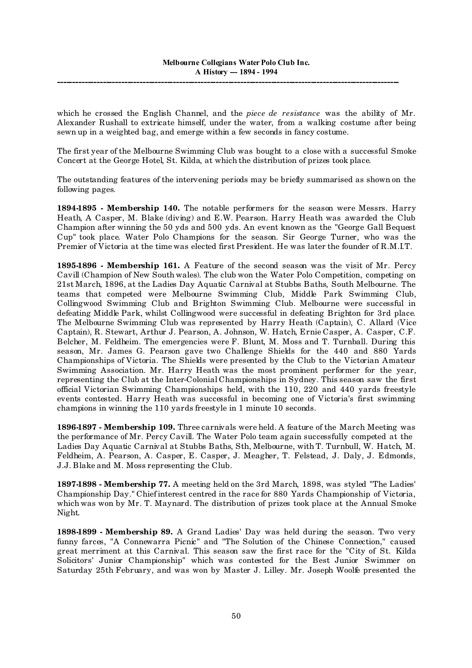which he crossed the English Channel, and the *piece de resistance* was the ability of Mr. Alexander Rushall to extricate himself, under the water, from a walking costume after being sewn up in a weighted bag, and emerge within a few seconds in fancy costume.

The first year of the Melbourne Swimming Club was bought to a close with a successful Smoke Concert at the George Hotel, St. Kilda, at which the distribution of prizes took place.

The outstanding features of the intervening periods may be briefly summarised as shown on the following pages.

**1894-1895 - Membership 140.** The notable performers for the season were Messrs. Harry Heath, A Casper, M. Blake (diving) and E.W. Pearson. Harry Heath was awarded the Club Champion after winning the 50 yds and 500 yds. An event known as the "George Gall Bequest Cup" took place. Water Polo Champions for the season. Sir George Turner, who was the Premier of Victoria at the time was elected first President. He was later the founder of R.M.I.T.

**1895-1896 - Membership 161.** A Feature of the second season was the visit of Mr. Percy Cavill (Champion of New South wales). The club won the Water Polo Competition, competing on 21st March, 1896, at the Ladies Day Aquatic Carnival at Stubbs Baths, South Melbourne. The teams that competed were Melbourne Swimming Club, Middle Park Swimming Club, Collingwood Swimming Club and Brighton Swimming Club. Melbourne were successful in defeating Middle Park, whilst Collingwood were successful in defeating Brighton for 3rd place. The Melbourne Swimming Club was represented by Harry Heath (Captain), C. Allard (Vice Captain), R. Stewart, Arthur J. Pearson, A. Johnson, W. Hatch, Ernie Casper, A. Casper, C.F. Belcher, M. Feldheim. The emergencies were F. Blunt, M. Moss and T. Turnball. During this season, Mr. James G. Pearson gave two Challenge Shields for the 440 and 880 Yards Championships of Victoria. The Shields were presented by the Club to the Victorian Amateur Swimming Association. Mr. Harry Heath was the most prominent performer for the year, representing the Club at the Inter-Colonial Championships in Sydney. This season saw the first official Victorian Swimming Championships held, with the 110, 220 and 440 yards freestyle events contested. Harry Heath was successful in becoming one of Victoria's first swimming champions in winning the 110 yards freestyle in 1 minute 10 seconds.

**1896-1897 - Membership 109.** Three carnivals were held. A feature of the March Meeting was the performance of Mr. Percy Cavill. The Water Polo team again successfully competed at the Ladies Day Aquatic Carnival at Stubbs Baths, Sth, Melbourne, with T. Turnbull, W. Hatch, M. Feldheim, A. Pearson, A. Casper, E. Casper, J. Meagher, T. Felstead, J. Daly, J. Edmonds, J.J. Blake and M. Moss representing the Club.

**1897-1898 - Membership 77.** A meeting held on the 3rd March, 1898, was styled "The Ladies' Championship Day." Chief interest centred in the race for 880 Yards Championship of Victoria, which was won by Mr. T. Maynard. The distribution of prizes took place at the Annual Smoke Night.

**1898-1899 - Membership 89.** A Grand Ladies' Day was held during the season. Two very funny farces, "A Connewarra Picnic" and "The Solution of the Chinese Connection," caused great merriment at this Carnival. This season saw the first race for the "City of St. Kilda Solicitors' Junior Championship" which was contested for the Best Junior Swimmer on Saturday 25th February, and was won by Master J. Lilley. Mr. Joseph Woolfe presented the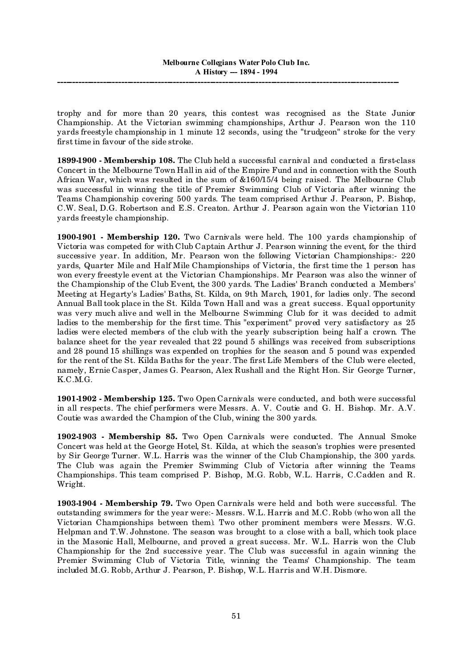trophy and for more than 20 years, this contest was recognised as the State Junior Championship. At the Victorian swimming championships, Arthur J. Pearson won the 110 yards freestyle championship in 1 minute 12 seconds, using the "trudgeon" stroke for the very first time in favour of the side stroke.

**1899-1900 - Membership 108.** The Club held a successful carnival and conducted a first-class Concert in the Melbourne Town Hall in aid of the Empire Fund and in connection with the South African War, which was resulted in the sum of &160/15/4 being raised. The Melbourne Club was successful in winning the title of Premier Swimming Club of Victoria after winning the Teams Championship covering 500 yards. The team comprised Arthur J. Pearson, P. Bishop, C.W. Seal, D.G. Robertson and E.S. Creaton. Arthur J. Pearson again won the Victorian 110 yards freestyle championship.

**1900-1901 - Membership 120.** Two Carnivals were held. The 100 yards championship of Victoria was competed for with Club Captain Arthur J. Pearson winning the event, for the third successive year. In addition, Mr. Pearson won the following Victorian Championships:- 220 yards, Quarter Mile and Half Mile Championships of Victoria, the first time the 1 person has won every freestyle event at the Victorian Championships. Mr Pearson was also the winner of the Championship of the Club Event, the 300 yards. The Ladies' Branch conducted a Members' Meeting at Hegarty's Ladies' Baths, St. Kilda, on 9th March, 1901, for ladies only. The second Annual Balltook place in the St. Kilda Town Hall and was a great success. Equal opportunity was very much alive and well in the Melbourne Swimming Club for it was decided to admit ladies to the membership for the first time. This "experiment" proved very satisfactory as 25 ladies were elected members of the club with the yearly subscription being half a crown. The balance sheet for the year revealed that 22 pound 5 shillings was received from subscriptions and 28 pound 15 shillings was expended on trophies for the season and 5 pound was expended for the rent of the St. Kilda Baths for the year. The first Life Members of the Club were elected, namely, Ernie Casper, James G. Pearson, Alex Rushall and the Right Hon. Sir George Turner, K.C.M.G.

**1901-1902 - Membership 125.** Two Open Carnivals were conducted, and both were successful in all respects. The chief performers were Messrs. A. V. Coutie and G. H. Bishop. Mr. A.V. Coutie was awarded the Champion of the Club, wining the 300 yards.

**1902-1903 - Membership 85.** Two Open Carnivals were conducted. The Annual Smoke Concert was held at the George Hotel, St. Kilda, at which the season's trophies were presented by Sir George Turner. W.L. Harris was the winner of the Club Championship, the 300 yards. The Club was again the Premier Swimming Club of Victoria after winning the Teams Championships. This team comprised P. Bishop, M.G. Robb, W.L. Harris, C.Cadden and R. Wright.

**1903-1904 - Membership 79.** Two Open Carnivals were held and both were successful. The outstanding swimmers for the year were:- Messrs. W.L. Harris and M.C. Robb (who won all the Victorian Championships between them). Two other prominent members were Messrs. W.G. Helpman and T.W. Johnstone. The season was brought to a close with a ball, which took place in the Masonic Hall, Melbourne, and proved a great success. Mr. W.L. Harris won the Club Championship for the 2nd successive year. The Club was successful in again winning the Premier Swimming Club of Victoria Title, winning the Teams' Championship. The team included M.G. Robb, Arthur J. Pearson, P. Bishop, W.L. Harris and W.H. Dismore.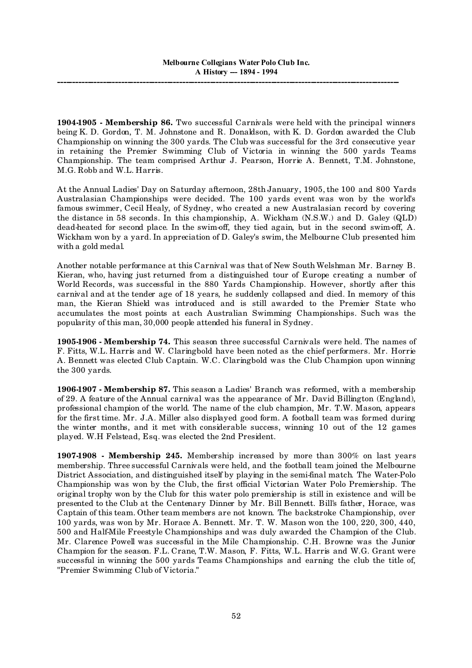**1904-1905 - Membership 86.** Two successful Carnivals were held with the principal winners being K. D. Gordon, T. M. Johnstone and R. Donaldson, with K. D. Gordon awarded the Club Championship on winning the 300 yards. The Club was successful for the 3rd consecutive year in retaining the Premier Swimming Club of Victoria in winning the 500 yards Teams Championship. The team comprised Arthur J. Pearson, Horrie A. Bennett, T.M. Johnstone, M.G. Robb and W.L. Harris.

At the Annual Ladies' Day on Saturday afternoon, 28th January, 1905, the 100 and 800 Yards Australasian Championships were decided. The 100 yards event was won by the world's famous swimmer, Cecil Healy, of Sydney, who created a new Australasian record by covering the distance in 58 seconds. In this championship, A. Wickham (N.S.W.) and D. Galey (QLD) dead-heated for second place. In the swim-off, they tied again, but in the second swim-off, A. Wickham won by a yard. In appreciation of D. Galey's swim, the Melbourne Club presented him with a gold medal.

Another notable performance at this Carnival was that of New South Welshman Mr. Barney B. Kieran, who, having just returned from a distinguished tour of Europe creating a number of World Records, was successful in the 880 Yards Championship. However, shortly after this carnival and at the tender age of 18 years, he suddenly collapsed and died. In memory of this man, the Kieran Shield was introduced and is still awarded to the Premier State who accumulates the most points at each Australian Swimming Championships. Such was the popularity of this man, 30,000 people attended his funeral in Sydney.

**1905-1906 - Membership 74.** This season three successful Carnivals were held. The names of F. Fitts, W.L. Harris and W. Claringbold have been noted as the chief performers. Mr. Horrie A. Bennett was elected Club Captain. W.C. Claringbold was the Club Champion upon winning the 300 yards.

**1906-1907 - Membership 87.** This season a Ladies' Branch was reformed, with a membership of 29. A feature of the Annual carnival was the appearance of Mr. David Billington (England), professional champion of the world. The name of the club champion, Mr. T.W. Mason, appears for the first time. Mr. J.A. Miller also displayed good form. A football team was formed during the winter months, and it met with considerable success, winning 10 out of the 12 games played. W.H Felstead, Esq. was elected the 2nd President.

**1907-1908 - Membership 245.** Membership increased by more than 300% on last years membership. Three successful Carnivals were held, and the football team joined the Melbourne District Association, and distinguished itself by playing in the semi-final match. The Water-Polo Championship was won by the Club, the first official Victorian Water Polo Premiership. The original trophy won by the Club for this water polo premiership is still in existence and will be presented to the Club at the Centenary Dinner by Mr. Bill Bennett. Bill's father, Horace, was Captain of this team. Other team members are not known. The backstroke Championship, over 100 yards, was won by Mr. Horace A. Bennett. Mr. T. W. Mason won the 100, 220, 300, 440, 500 and Half-Mile Freestyle Championships and was duly awarded the Champion of the Club. Mr. Clarence Powell was successful in the Mile Championship. C.H. Browne was the Junior Champion for the season. F.L. Crane, T.W. Mason, F. Fitts, W.L. Harris and W.G. Grant were successful in winning the 500 yards Teams Championships and earning the club the title of, "Premier Swimming Club of Victoria."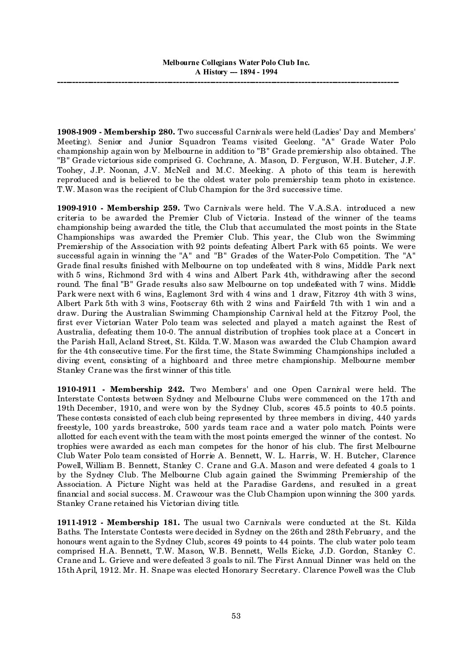**1908-1909 - Membership 280.** Two successful Carnivals were held (Ladies' Day and Members' Meeting). Senior and Junior Squadron Teams visited Geelong. "A" Grade Water Polo championship again won by Melbourne in addition to "B" Grade premiership also obtained. The "B" Grade victorious side comprised G. Cochrane, A. Mason, D. Ferguson, W.H. Butcher, J.F. Toohey, J.P. Noonan, J.V. McNeil and M.C. Meeking. A photo of this team is herewith reproduced and is believed to be the oldest water polo premiership team photo in existence. T.W. Mason was the recipient of Club Champion for the 3rd successive time.

**1909-1910 - Membership 259.** Two Carnivals were held. The V.A.S.A. introduced a new criteria to be awarded the Premier Club of Victoria. Instead of the winner of the teams championship being awarded the title, the Club that accumulated the most points in the State Championships was awarded the Premier Club. This year, the Club won the Swimming Premiership of the Association with 92 points defeating Albert Park with 65 points. We were successful again in winning the "A" and "B" Grades of the Water-Polo Competition. The "A" Grade final results finished with Melbourne on top undefeated with 8 wins, Middle Park next with 5 wins, Richmond 3rd with 4 wins and Albert Park 4th, withdrawing after the second round. The final "B" Grade results also saw Melbourne on top undefeated with 7 wins. Middle Park were next with 6 wins, Eaglemont 3rd with 4 wins and 1 draw, Fitzroy 4th with 3 wins, Albert Park 5th with 3 wins, Footscray 6th with 2 wins and Fairfield 7th with 1 win and a draw. During the Australian Swimming Championship Carnival held at the Fitzroy Pool, the first ever Victorian Water Polo team was selected and played a match against the Rest of Australia, defeating them 10-0. The annual distribution of trophies took place at a Concert in the Parish Hall, Acland Street, St. Kilda. T.W. Mason was awarded the Club Champion award for the 4th consecutive time. For the first time, the State Swimming Championships included a diving event, consisting of a highboard and three metre championship. Melbourne member Stanley Crane was the first winner of this title.

**1910-1911 - Membership 242.** Two Members' and one Open Carnival were held. The Interstate Contests between Sydney and Melbourne Clubs were commenced on the 17th and 19th December, 1910, and were won by the Sydney Club, scores 45.5 points to 40.5 points. These contests consisted of each club being represented by three members in diving, 440 yards freestyle, 100 yards breastroke, 500 yards team race and a water polo match. Points were allotted for each event with the team with the most points emerged the winner of the contest. No trophies were awarded as each man competes for the honor of his club. The first Melbourne Club Water Polo team consisted of Horrie A. Bennett, W. L. Harris, W. H. Butcher, Clarence Powell, William B. Bennett, Stanley C. Crane and G.A. Mason and were defeated 4 goals to 1 by the Sydney Club. The Melbourne Club again gained the Swimming Premiership of the Association. A Picture Night was held at the Paradise Gardens, and resulted in a great financial and social success. M. Crawcour was the Club Champion upon winning the 300 yards. Stanley Crane retained his Victorian diving title.

**1911-1912 - Membership 181.** The usual two Carnivals were conducted at the St. Kilda Baths. The Interstate Contests were decided in Sydney on the 26th and 28th February, and the honours went again to the Sydney Club, scores 49 points to 44 points. The club water polo team comprised H.A. Bennett, T.W. Mason, W.B. Bennett, Wells Eicke, J.D. Gordon, Stanley C. Crane and L. Grieve and were defeated 3 goals to nil. The First Annual Dinner was held on the 15th April, 1912. Mr. H. Snape was elected Honorary Secretary. Clarence Powell was the Club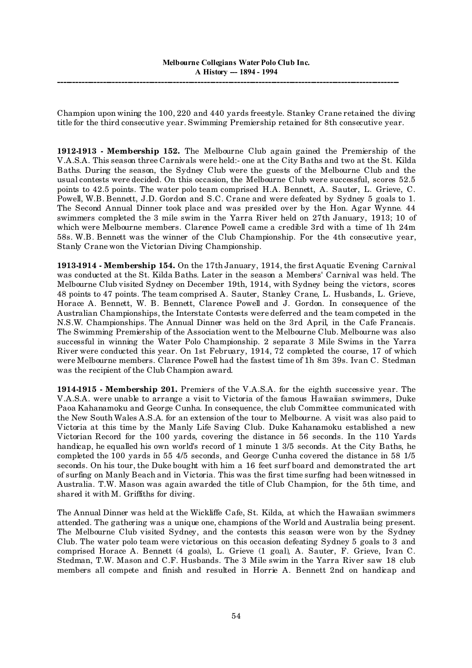Champion upon wining the 100, 220 and 440 yards freestyle. Stanley Crane retained the diving title for the third consecutive year. Swimming Premiership retained for 8th consecutive year.

**1912-1913 - Membership 152.** The Melbourne Club again gained the Premiership of the V.A.S.A. This season three Carnivals were held:- one at the City Baths and two at the St. Kilda Baths. During the season, the Sydney Club were the guests of the Melbourne Club and the usual contests were decided. On this occasion, the Melbourne Club were successful, scores 52.5 points to 42.5 points. The water polo team comprised H.A. Bennett, A. Sauter, L. Grieve, C. Powell, W.B. Bennett, J.D. Gordon and S.C. Crane and were defeated by Sydney 5 goals to 1. The Second Annual Dinner took place and was presided over by the Hon. Agar Wynne. 44 swimmers completed the 3 mile swim in the Yarra River held on 27th January, 1913; 10 of which were Melbourne members. Clarence Powell came a credible 3rd with a time of 1h 24m 58s. W.B. Bennett was the winner of the Club Championship. For the 4th consecutive year, Stanly Crane won the Victorian Diving Championship.

**1913-1914 - Membership 154.** On the 17th January, 1914, the first Aquatic Evening Carnival was conducted at the St. Kilda Baths. Later in the season a Members' Carnival was held. The Melbourne Club visited Sydney on December 19th, 1914, with Sydney being the victors, scores 48 points to 47 points. The team comprised A. Sauter, Stanley Crane, L. Husbands, L. Grieve, Horace A. Bennett, W. B. Bennett, Clarence Powell and J. Gordon. In consequence of the Australian Championships, the Interstate Contests were deferred and the team competed in the N.S.W. Championships. The Annual Dinner was held on the 3rd April, in the Cafe Francais. The Swimming Premiership of the Association went to the Melbourne Club. Melbourne was also successful in winning the Water Polo Championship. 2 separate 3 Mile Swims in the Yarra River were conducted this year. On 1st February, 1914, 72 completed the course, 17 of which were Melbourne members. Clarence Powell had the fastest time of 1h 8m 39s. Ivan C. Stedman was the recipient of the Club Champion award.

**1914-1915 - Membership 201.** Premiers of the V.A.S.A. for the eighth successive year. The V.A.S.A. were unable to arrange a visit to Victoria of the famous Hawaiian swimmers, Duke Paoa Kahanamoku and George Cunha. In consequence, the club Committee communicated with the New South Wales A.S.A. for an extension of the tour to Melbourne. A visit was also paid to Victoria at this time by the Manly Life Saving Club. Duke Kahanamoku established a new Victorian Record for the 100 yards, covering the distance in 56 seconds. In the 110 Yards handicap, he equalled his own world's record of 1 minute 1 3/5 seconds. At the City Baths, he completed the 100 yards in 55 4/5 seconds, and George Cunha covered the distance in 58 1/5 seconds. On his tour, the Duke bought with him a 16 feet surf board and demonstrated the art of surfing on Manly Beach and in Victoria. This was the first time surfing had been witnessed in Australia. T.W. Mason was again awarded the title of Club Champion, for the 5th time, and shared it with M. Griffiths for diving.

The Annual Dinner was held at the Wickliffe Cafe, St. Kilda, at which the Hawaiian swimmers attended. The gathering was a unique one, champions of the World and Australia being present. The Melbourne Club visited Sydney, and the contests this season were won by the Sydney Club. The water polo team were victorious on this occasion defeating Sydney 5 goals to 3 and comprised Horace A. Bennett (4 goals), L. Grieve (1 goal), A. Sauter, F. Grieve, Ivan C. Stedman, T.W. Mason and C.F. Husbands. The 3 Mile swim in the Yarra River saw 18 club members all compete and finish and resulted in Horrie A. Bennett 2nd on handicap and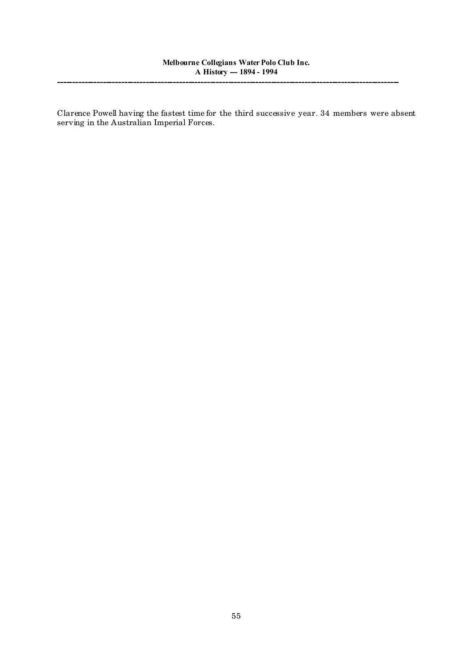Clarence Powell having the fastest time for the third successive year. 34 members were absent serving in the Australian Imperial Forces.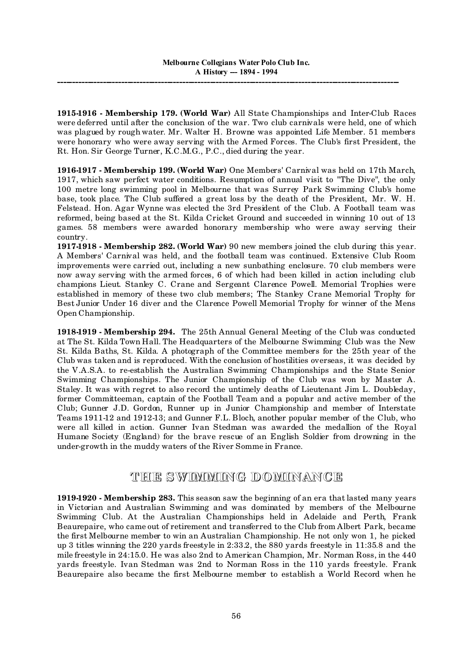**1915-1916 - Membership 179. (World War)** All State Championships and Inter-Club Races were deferred until after the conclusion of the war. Two club carnivals were held, one of which was plagued by rough water. Mr. Walter H. Browne was appointed Life Member. 51 members were honorary who were away serving with the Armed Forces. The Club's first President, the Rt. Hon. Sir George Turner, K.C.M.G., P.C., died during the year.

**1916-1917 - Membership 199. (World War)** One Members' Carnival was held on 17th March, 1917, which saw perfect water conditions. Resumption of annual visit to "The Dive", the only 100 metre long swimming pool in Melbourne that was Surrey Park Swimming Club's home base, took place. The Club suffered a great loss by the death of the President, Mr. W. H. Felstead. Hon. Agar Wynne was elected the 3rd President of the Club. A Football team was reformed, being based at the St. Kilda Cricket Ground and succeeded in winning 10 out of 13 games. 58 members were awarded honorary membership who were away serving their country.

**1917-1918 - Membership 282. (World War)** 90 new members joined the club during this year. A Members' Carnival was held, and the football team was continued. Extensive Club Room improvements were carried out, including a new sunbathing enclosure. 70 club members were now away serving with the armed forces, 6 of which had been killed in action including club champions Lieut. Stanley C. Crane and Sergeant Clarence Powell. Memorial Trophies were established in memory of these two club members; The Stanley Crane Memorial Trophy for Best Junior Under 16 diver and the Clarence Powell Memorial Trophy for winner of the Mens Open Championship.

**1918-1919 - Membership 294.** The 25th Annual General Meeting of the Club was conducted at The St. Kilda Town Hall. The Headquarters of the Melbourne Swimming Club was the New St. Kilda Baths, St. Kilda. A photograph of the Committee members for the 25th year of the Club was taken and is reproduced. With the conclusion of hostilities overseas, it was decided by the V.A.S.A. to re-establish the Australian Swimming Championships and the State Senior Swimming Championships. The Junior Championship of the Club was won by Master A. Staley. It was with regret to also record the untimely deaths of Lieutenant Jim L. Doubleday, former Committeeman, captain of the Football Team and a popular and active member of the Club; Gunner J.D. Gordon, Runner up in Junior Championship and member of Interstate Teams 1911-12 and 1912-13; and Gunner F.L. Bloch, another popular member of the Club, who were all killed in action. Gunner Ivan Stedman was awarded the medallion of the Royal Humane Society (England) for the brave rescue of an English Soldier from drowning in the under-growth in the muddy waters of the River Somme in France.

## **THE SWIMMING DOMINANCE**

**1919-1920 - Membership 283.** This season saw the beginning of an era that lasted many years in Victorian and Australian Swimming and was dominated by members of the Melbourne Swimming Club. At the Australian Championships held in Adelaide and Perth, Frank Beaurepaire, who came out of retirement and transferred to the Club from Albert Park, became the first Melbourne member to win an Australian Championship. He not only won 1, he picked up 3 titles winning the 220 yards freestyle in 2:33.2, the 880 yards freestyle in 11:35.8 and the mile freestyle in 24:15.0. He was also 2nd to American Champion, Mr. Norman Ross, in the 440 yards freestyle. Ivan Stedman was 2nd to Norman Ross in the 110 yards freestyle. Frank Beaurepaire also became the first Melbourne member to establish a World Record when he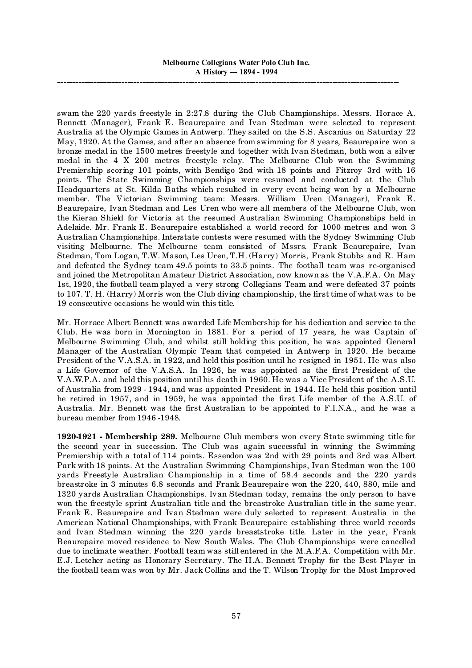swam the 220 yards freestyle in 2:27.8 during the Club Championships. Messrs. Horace A. Bennett (Manager), Frank E. Beaurepaire and Ivan Stedman were selected to represent Australia at the Olympic Games in Antwerp. They sailed on the S.S. Ascanius on Saturday 22 May, 1920. At the Games, and after an absence from swimming for 8 years, Beaurepaire won a bronze medal in the 1500 metres freestyle and together with Ivan Stedman, both won a silver medal in the 4 X 200 metres freestyle relay. The Melbourne Club won the Swimming Premiership scoring 101 points, with Bendigo 2nd with 18 points and Fitzroy 3rd with 16 points. The State Swimming Championships were resumed and conducted at the Club Headquarters at St. Kilda Baths which resulted in every event being won by a Melbourne member. The Victorian Swimming team: Messrs. William Uren (Manager), Frank E. Beaurepaire, Ivan Stedman and Les Uren who were all members of the Melbourne Club, won the Kieran Shield for Victoria at the resumed Australian Swimming Championships held in Adelaide. Mr. Frank E. Beaurepaire established a world record for 1000 metres and won 3 Australian Championships. Interstate contests were resumed with the Sydney Swimming Club visiting Melbourne. The Melbourne team consisted of Mssrs. Frank Beaurepaire, Ivan Stedman, Tom Logan, T.W. Mason, Les Uren, T.H. (Harry) Morris, Frank Stubbs and R. Ham and defeated the Sydney team 49.5 points to 33.5 points. The football team was re-organised and joined the Metropolitan Amateur District Association, now known as the V.A.F.A. On May 1st, 1920, the football team played a very strong Collegians Team and were defeated 37 points to 107. T. H. (Harry) Morris won the Club diving championship, the first time of what was to be 19 consecutive occasions he would win this title.

Mr. Horrace Albert Bennett was awarded Life Membership for his dedication and service to the Club. He was born in Mornington in 1881. For a period of 17 years, he was Captain of Melbourne Swimming Club, and whilst still holding this position, he was appointed General Manager of the Australian Olympic Team that competed in Antwerp in 1920. He became President of the V.A.S.A. in 1922, and held this position until he resigned in 1951. He was also a Life Governor of the V.A.S.A. In 1926, he was appointed as the first President of the V.A.W.P.A. and held this position until his death in 1960. He was a Vice President of the A.S.U. of Australia from 1929 - 1944, and was appointed President in 1944. He held this position until he retired in 1957, and in 1959, he was appointed the first Life member of the A.S.U. of Australia. Mr. Bennett was the first Australian to be appointed to F.I.N.A., and he was a bureau member from 1946 -1948.

**1920-1921 - Membership 289.** Melbourne Club members won every State swimming title for the second year in succession. The Club was again successful in winning the Swimming Premiership with a total of 114 points. Essendon was 2nd with 29 points and 3rd was Albert Park with 18 points. At the Australian Swimming Championships, Ivan Stedman won the 100 yards Freestyle Australian Championship in a time of 58.4 seconds and the 220 yards breastroke in 3 minutes 6.8 seconds and Frank Beaurepaire won the 220, 440, 880, mile and 1320 yards Australian Championships. Ivan Stedman today, remains the only person to have won the freestyle sprint Australian title and the breastroke Australian title in the same year. Frank E. Beaurepaire and Ivan Stedman were duly selected to represent Australia in the American National Championships, with Frank Beaurepaire establishing three world records and Ivan Stedman winning the 220 yards breaststroke title. Later in the year, Frank Beaurepaire moved residence to New South Wales. The Club Championships were cancelled due to inclimate weather. Football team was still entered in the M.A.F.A. Competition with Mr. E.J. Letcher acting as Honorary Secretary. The H.A. Bennett Trophy for the Best Player in the football team was won by Mr. Jack Collins and the T. Wilson Trophy for the Most Improved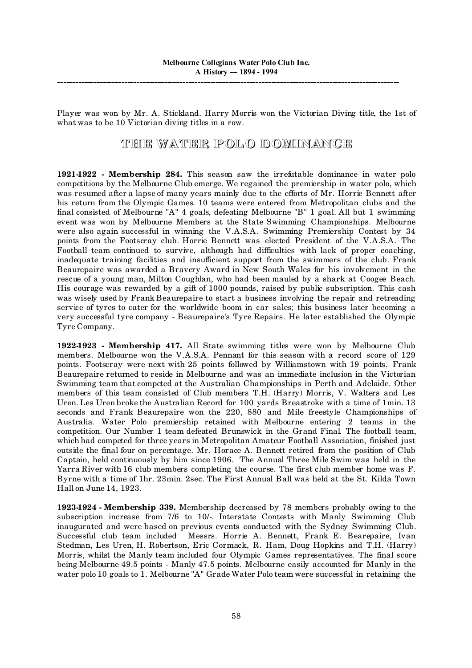Player was won by Mr. A. Stickland. Harry Morris won the Victorian Diving title, the 1st of what was to be 10 Victorian diving titles in a row.

## THE WATER POLO DOMINANCE

**1921-1922 - Membership 284.** This season saw the irrefutable dominance in water polo competitions by the Melbourne Club emerge. We regained the premiership in water polo, which was resumed after a lapse of many years mainly due to the efforts of Mr. Horrie Bennett after his return from the Olympic Games. 10 teams were entered from Metropolitan clubs and the final consisted of Melbourne "A" 4 goals, defeating Melbourne "B" 1 goal. All but 1 swimming event was won by Melbourne Members at the State Swimming Championships. Melbourne were also again successful in winning the V.A.S.A. Swimming Premiership Contest by 34 points from the Footscray club. Horrie Bennett was elected President of the V.A.S.A. The Football team continued to survive, although had difficulties with lack of proper coaching, inadequate training facilities and insufficient support from the swimmers of the club. Frank Beaurepaire was awarded a Bravery Award in New South Wales for his involvement in the rescue of a young man, Milton Coughlan, who had been mauled by a shark at Coogee Beach. His courage was rewarded by a gift of 1000 pounds, raised by public subscription. This cash was wisely used by Frank Beaurepaire to start a business involving the repair and retreading service of tyres to cater for the worldwide boom in car sales; this business later becoming a very successful tyre company - Beaurepaire's Tyre Repairs. He later established the Olympic Tyre Company.

**1922-1923 - Membership 417.** All State swimming titles were won by Melbourne Club members. Melbourne won the V.A.S.A. Pennant for this season with a record score of 129 points. Footscray were next with 25 points followed by Williamstown with 19 points. Frank Beaurepaire returned to reside in Melbourne and was an immediate inclusion in the Victorian Swimming team that competed at the Australian Championships in Perth and Adelaide. Other members of this team consisted of Club members T.H. (Harry) Morris, V. Walters and Les Uren. Les Uren broke the Australian Record for 100 yards Breastroke with a time of 1min. 13 seconds and Frank Beaurepaire won the 220, 880 and Mile freestyle Championships of Australia. Water Polo premiership retained with Melbourne entering 2 teams in the competition. Our Number 1 team defeated Brunswick in the Grand Final. The football team, which had competed for three years in Metropolitan Amateur Football Association, finished just outside the final four on percentage. Mr. Horace A. Bennett retired from the position of Club Captain, held continuously by him since 1906. The Annual Three Mile Swim was held in the Yarra River with 16 club members completing the course. The first club member home was F. Byrne with a time of 1hr. 23min. 2sec. The First Annual Ball was held at the St. Kilda Town Hall on June 14, 1923.

**1923-1924 - Membership 339.** Membership decreased by 78 members probably owing to the subscription increase from 7/6 to 10/-. Interstate Contests with Manly Swimming Club inaugurated and were based on previous events conducted with the Sydney Swimming Club. Successful club team included Messrs. Horrie A. Bennett, Frank E. Bearepaire, Ivan Stedman, Les Uren, H. Robertson, Eric Cormack, R. Ham, Doug Hopkins and T.H. (Harry) Morris, whilst the Manly team included four Olympic Games representatives. The final score being Melbourne 49.5 points - Manly 47.5 points. Melbourne easily accounted for Manly in the water polo 10 goals to 1. Melbourne "A" Grade Water Polo team were successful in retaining the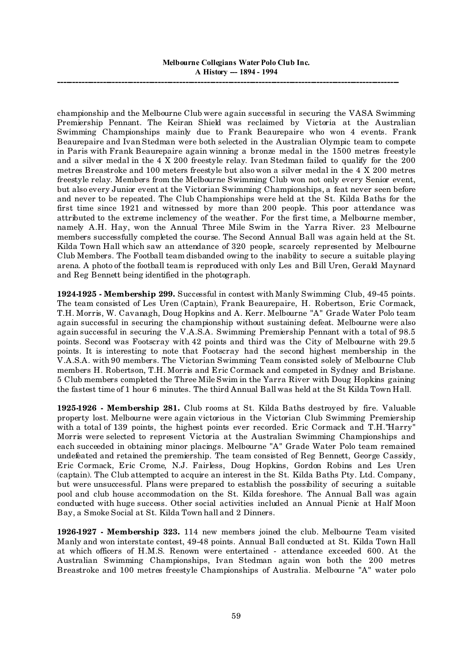championship and the Melbourne Club were again successful in securing the VASA Swimming Premiership Pennant. The Keiran Shield was reclaimed by Victoria at the Australian Swimming Championships mainly due to Frank Beaurepaire who won 4 events. Frank Beaurepaire and Ivan Stedman were both selected in the Australian Olympic team to compete in Paris with Frank Beaurepaire again winning a bronze medal in the 1500 metres freestyle and a silver medal in the 4 X 200 freestyle relay. Ivan Stedman failed to qualify for the 200 metres Breastroke and 100 meters freestyle but also won a silver medal in the 4 X 200 metres freestyle relay. Members from the Melbourne Swimming Club won not only every Senior event, but also every Junior event at the Victorian Swimming Championships, a feat never seen before and never to be repeated. The Club Championships were held at the St. Kilda Baths for the first time since 1921 and witnessed by more than 200 people. This poor attendance was attributed to the extreme inclemency of the weather. For the first time, a Melbourne member, namely A.H. Hay, won the Annual Three Mile Swim in the Yarra River. 23 Melbourne members successfully completed the course. The Second Annual Ball was again held at the St. Kilda Town Hall which saw an attendance of 320 people, scarcely represented by Melbourne Club Members. The Football team disbanded owing to the inability to secure a suitable playing arena. A photo of the football team is reproduced with only Les and Bill Uren, Gerald Maynard and Reg Bennett being identified in the photograph.

**1924-1925 - Membership 299.** Successful in contest with Manly Swimming Club, 49-45 points. The team consisted of Les Uren (Captain), Frank Beaurepaire, H. Robertson, Eric Cormack, T.H. Morris, W. Cavanagh, Doug Hopkins and A. Kerr. Melbourne "A" Grade Water Polo team again successful in securing the championship without sustaining defeat. Melbourne were also again successful in securing the V.A.S.A. Swimming Premiership Pennant with a total of 98.5 points. Second was Footscray with 42 points and third was the City of Melbourne with 29.5 points. It is interesting to note that Footscray had the second highest membership in the V.A.S.A. with 90 members. The Victorian Swimming Team consisted solely of Melbourne Club members H. Robertson, T.H. Morris and Eric Cormack and competed in Sydney and Brisbane. 5 Club members completed the Three Mile Swim in the Yarra River with Doug Hopkins gaining the fastest time of 1 hour 6 minutes. The third Annual Ball was held at the St Kilda Town Hall.

**1925-1926 - Membership 281.** Club rooms at St. Kilda Baths destroyed by fire. Valuable property lost. Melbourne were again victorious in the Victorian Club Swimming Premiership with a total of 139 points, the highest points ever recorded. Eric Cormack and T.H."Harry" Morris were selected to represent Victoria at the Australian Swimming Championships and each succeeded in obtaining minor placings. Melbourne "A" Grade Water Polo team remained undefeated and retained the premiership. The team consisted of Reg Bennett, George Cassidy, Eric Cormack, Eric Crome, N.J. Fairless, Doug Hopkins, Gordon Robins and Les Uren (captain). The Club attempted to acquire an interest in the St. Kilda Baths Pty. Ltd. Company, but were unsuccessful. Plans were prepared to establish the possibility of securing a suitable pool and club house accommodation on the St. Kilda foreshore. The Annual Ball was again conducted with huge success. Other social activities included an Annual Picnic at Half Moon Bay, a Smoke Social at St. Kilda Town hall and 2 Dinners.

**1926-1927 - Membership 323.** 114 new members joined the club. Melbourne Team visited Manly and won interstate contest, 49-48 points. Annual Ball conducted at St. Kilda Town Hall at which officers of H.M.S. Renown were entertained - attendance exceeded 600. At the Australian Swimming Championships, Ivan Stedman again won both the 200 metres Breastroke and 100 metres freestyle Championships of Australia. Melbourne "A" water polo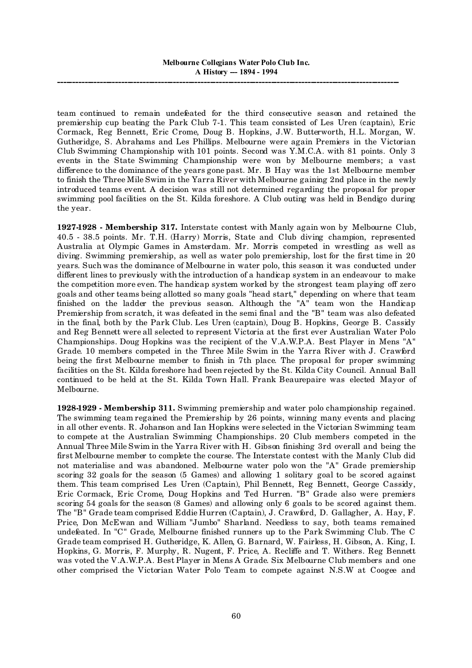team continued to remain undefeated for the third consecutive season and retained the premiership cup beating the Park Club 7-1. This team consisted of Les Uren (captain), Eric Cormack, Reg Bennett, Eric Crome, Doug B. Hopkins, J.W. Butterworth, H.L. Morgan, W. Gutheridge, S. Abrahams and Les Phillips. Melbourne were again Premiers in the Victorian Club Swimming Championship with 101 points. Second was Y.M.C.A. with 81 points. Only 3 events in the State Swimming Championship were won by Melbourne members; a vast difference to the dominance of the years gone past. Mr. B Hay was the 1st Melbourne member to finish the Three Mile Swim in the Yarra River with Melbourne gaining 2nd place in the newly introduced teams event. A decision was still not determined regarding the proposal for proper swimming pool facilities on the St. Kilda foreshore. A Club outing was held in Bendigo during the year.

**1927-1928 - Membership 317.** Interstate contest with Manly again won by Melbourne Club, 40.5 - 38.5 points. Mr. T.H. (Harry) Morris, State and Club diving champion, represented Australia at Olympic Games in Amsterdam. Mr. Morris competed in wrestling as well as diving. Swimming premiership, as well as water polo premiership, lost for the first time in 20 years. Such was the dominance of Melbourne in water polo, this season it was conducted under different lines to previously with the introduction of a handicap system in an endeavour to make the competition more even. The handicap system worked by the strongest team playing off zero goals and other teams being allotted so many goals "head start," depending on where that team finished on the ladder the previous season. Although the "A" team won the Handicap Premiership from scratch, it was defeated in the semi final and the "B" team was also defeated in the final, both by the Park Club. Les Uren (captain), Doug B. Hopkins, George B. Cassidy and Reg Bennett were all selected to represent Victoria at the first ever Australian Water Polo Championships. Doug Hopkins was the recipient of the V.A.W.P.A. Best Player in Mens "A" Grade. 10 members competed in the Three Mile Swim in the Yarra River with J. Crawford being the first Melbourne member to finish in 7th place. The proposal for proper swimming facilities on the St. Kilda foreshore had been rejected by the St. Kilda City Council. Annual Ball continued to be held at the St. Kilda Town Hall. Frank Beaurepaire was elected Mayor of Melbourne.

**1928-1929 - Membership 311.** Swimming premiership and water polo championship regained. The swimming team regained the Premiership by 26 points, winning many events and placing in all other events. R. Johanson and Ian Hopkins were selected in the Victorian Swimming team to compete at the Australian Swimming Championships. 20 Club members competed in the Annual Three Mile Swim in the Yarra River with H. Gibson finishing 3rd overall and being the first Melbourne member to complete the course. The Interstate contest with the Manly Club did not materialise and was abandoned. Melbourne water polo won the "A" Grade premiership scoring 32 goals for the season (5 Games) and allowing 1 solitary goal to be scored against them. This team comprised Les Uren (Captain), Phil Bennett, Reg Bennett, George Cassidy, Eric Cormack, Eric Crome, Doug Hopkins and Ted Hurren. "B" Grade also were premiers scoring 54 goals for the season (8 Games) and allowing only 6 goals to be scored against them. The "B" Grade team comprised Eddie Hurren (Captain), J. Crawford, D. Gallagher, A. Hay, F. Price, Don McEwan and William "Jumbo" Sharland. Needless to say, both teams remained undefeated. In "C" Grade, Melbourne finished runners up to the Park Swimming Club. The C Grade team comprised H. Gutheridge, K. Allen, G. Barnard, W. Fairless, H. Gibson, A. King, I. Hopkins, G. Morris, F. Murphy, R. Nugent, F. Price, A. Recliffe and T. Withers. Reg Bennett was voted the V.A.W.P.A. Best Player in Mens A Grade. Six Melbourne Club members and one other comprised the Victorian Water Polo Team to compete against N.S.W at Coogee and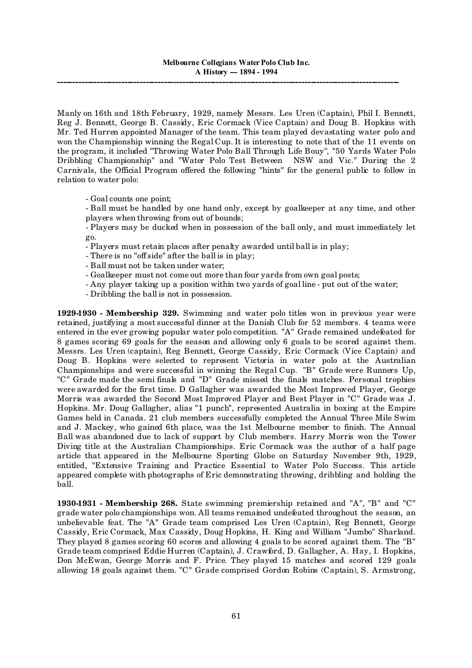Manly on 16th and 18th February, 1929, namely Messrs. Les Uren (Captain), Phil I. Bennett, Reg J. Bennett, George B. Cassidy, Eric Cormack (Vice Captain) and Doug B. Hopkins with Mr. Ted Hurren appointed Manager of the team. This team played devastating water polo and won the Championship winning the Regal Cup. It is interesting to note that of the 11 events on the program, it included "Throwing Water Polo Ball Through Life Bouy", "50 Yards Water Polo Dribbling Championship" and "Water Polo Test Between NSW and Vic." During the 2 Carnivals, the Official Program offered the following "hints" for the general public to follow in relation to water polo:

- Goal counts one point;

- Ball must be handled by one hand only, except by goalkeeper at any time, and other players when throwing from out of bounds;

- Players may be ducked when in possession of the ball only, and must immediately let go.

- Players must retain places after penalty awarded until ball is in play;

- There is no "off side" after the ball is in play;

- Ball must not be taken under water;

- Goalkeeper must not come out more than four yards from own goal posts;

- Any player taking up a position within two yards of goal line put out of the water;
- Dribbling the ball is not in possession.

**1929-1930 - Membership 329.** Swimming and water polo titles won in previous year were retained, justifying a most successful dinner at the Danish Club for 52 members. 4 teams were entered in the ever growing popular water polo competition. "A" Grade remained undefeated for 8 games scoring 69 goals for the season and allowing only 6 goals to be scored against them. Messrs. Les Uren (captain), Reg Bennett, George Cassidy, Eric Cormack (Vice Captain) and Doug B. Hopkins were selected to represent Victoria in water polo at the Australian Championships and were successful in winning the Regal Cup. "B" Grade were Runners Up, "C" Grade made the semi finals and "D" Grade missed the finals matches. Personal trophies were awarded for the first time. D Gallagher was awarded the Most Improved Player, George Morris was awarded the Second Most Improved Player and Best Player in "C" Grade was J. Hopkins. Mr. Doug Gallagher, alias "1 punch", represented Australia in boxing at the Empire Games held in Canada. 21 club members successfully completed the Annual Three Mile Swim and J. Mackey, who gained 6th place, was the 1st Melbourne member to finish. The Annual Ball was abandoned due to lack of support by Club members. Harry Morris won the Tower Diving title at the Australian Championships. Eric Cormack was the author of a half page article that appeared in the Melbourne Sporting Globe on Saturday November 9th, 1929, entitled, "Extensive Training and Practice Essential to Water Polo Success. This article appeared complete with photographs of Eric demonstrating throwing, dribbling and holding the ball.

**1930-1931 - Membership 268.** State swimming premiership retained and "A", "B" and "C" grade water polo championships won. All teams remained undefeated throughout the season, an unbelievable feat. The "A" Grade team comprised Les Uren (Captain), Reg Bennett, George Cassidy, Eric Cormack, Max Cassidy, Doug Hopkins, H. King and William "Jumbo" Sharland. They played 8 games scoring 60 scores and allowing 4 goals to be scored against them. The "B" Grade team comprised Eddie Hurren (Captain), J. Crawford, D. Gallagher, A. Hay, I. Hopkins, Don McEwan, George Morris and F. Price. They played 15 matches and scored 129 goals allowing 18 goals against them. "C" Grade comprised Gordon Robins (Captain), S. Armstrong,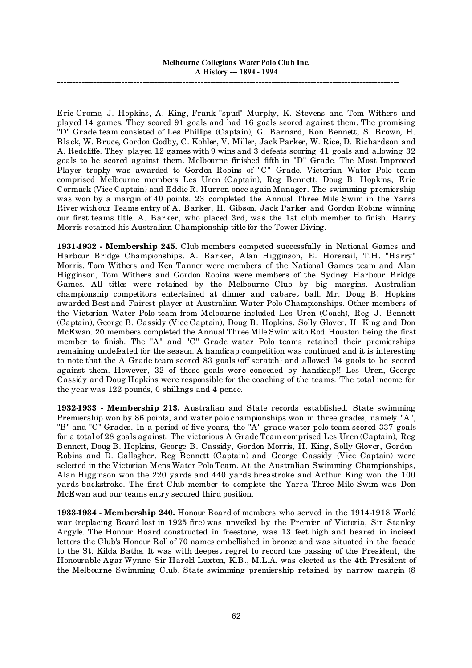Eric Crome, J. Hopkins, A. King, Frank "spud" Murphy, K. Stevens and Tom Withers and played 14 games. They scored 91 goals and had 16 goals scored against them. The promising "D" Grade team consisted of Les Phillips (Captain), G. Barnard, Ron Bennett, S. Brown, H. Black, W. Bruce, Gordon Godby, C. Kohler, V. Miller, Jack Parker, W. Rice, D. Richardson and A. Redcliffe. They played 12 games with 9 wins and 3 defeats scoring 41 goals and allowing 32 goals to be scored against them. Melbourne finished fifth in "D" Grade. The Most Improved Player trophy was awarded to Gordon Robins of "C" Grade. Victorian Water Polo team comprised Melbourne members Les Uren (Captain), Reg Bennett, Doug B. Hopkins, Eric Cormack (Vice Captain) and Eddie R. Hurren once again Manager. The swimming premiership was won by a margin of 40 points. 23 completed the Annual Three Mile Swim in the Yarra River with our Teams entry of A. Barker, H. Gibson, Jack Parker and Gordon Robins winning our first teams title. A. Barker, who placed 3rd, was the 1st club member to finish. Harry Morris retained his Australian Championship title for the Tower Diving.

**1931-1932 - Membership 245.** Club members competed successfully in National Games and Harbour Bridge Championships. A. Barker, Alan Higginson, E. Horsnail, T.H. "Harry" Morris, Tom Withers and Ken Tanner were members of the National Games team and Alan Higginson, Tom Withers and Gordon Robins were members of the Sydney Harbour Bridge Games. All titles were retained by the Melbourne Club by big margins. Australian championship competitors entertained at dinner and cabaret ball. Mr. Doug B. Hopkins awarded Best and Fairest player at Australian Water Polo Championships. Other members of the Victorian Water Polo team from Melbourne included Les Uren (Coach), Reg J. Bennett (Captain), George B. Cassidy (Vice Captain), Doug B. Hopkins, Solly Glover, H. King and Don McEwan. 20 members completed the Annual Three Mile Swim with Rod Houston being the first member to finish. The "A" and "C" Grade water Polo teams retained their premierships remaining undefeated for the season. A handicap competition was continued and it is interesting to note that the A Grade team scored 83 goals (off scratch) and allowed 34 gaols to be scored against them. However, 32 of these goals were conceded by handicap!! Les Uren, George Cassidy and Doug Hopkins were responsible for the coaching of the teams. The total income for the year was 122 pounds, 0 shillings and 4 pence.

**1932-1933 - Membership 213.** Australian and State records established. State swimming Premiership won by 86 points, and water polo championships won in three grades, namely "A", "B" and "C" Grades. In a period of five years, the "A" grade water polo team scored 337 goals for a total of 28 goals against. The victorious A Grade Team comprised Les Uren (Captain), Reg Bennett, Doug B. Hopkins, George B. Cassidy, Gordon Morris, H. King, Solly Glover, Gordon Robins and D. Gallagher. Reg Bennett (Captain) and George Cassidy (Vice Captain) were selected in the Victorian Mens Water Polo Team. At the Australian Swimming Championships, Alan Higginson won the 220 yards and 440 yards breastroke and Arthur King won the 100 yards backstroke. The first Club member to complete the Yarra Three Mile Swim was Don McEwan and our teams entry secured third position.

**1933-1934 - Membership 240.** Honour Board of members who served in the 1914-1918 World war (replacing Board lost in 1925 fire) was unveiled by the Premier of Victoria, Sir Stanley Argyle. The Honour Board constructed in freestone, was 13 feet high and beared in incised letters the Club's Honour Roll of 70 names embellished in bronze and was situated in the facade to the St. Kilda Baths. It was with deepest regret to record the passing of the President, the Honourable Agar Wynne. Sir Harold Luxton, K.B., M.L.A. was elected as the 4th President of the Melbourne Swimming Club. State swimming premiership retained by narrow margin (8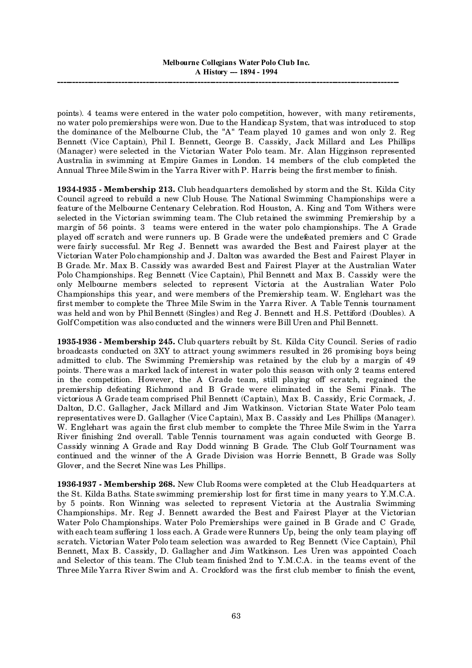points). 4 teams were entered in the water polo competition, however, with many retirements, no water polo premierships were won. Due to the Handicap System, that was introduced to stop the dominance of the Melbourne Club, the "A" Team played 10 games and won only 2. Reg Bennett (Vice Captain), Phil I. Bennett, George B. Cassidy, Jack Millard and Les Phillips (Manager) were selected in the Victorian Water Polo team. Mr. Alan Higginson represented Australia in swimming at Empire Games in London. 14 members of the club completed the Annual Three Mile Swim in the Yarra River with P. Harris being the first member to finish.

**1934-1935 - Membership 213.** Club headquarters demolished by storm and the St. Kilda City Council agreed to rebuild a new Club House. The National Swimming Championships were a feature of the Melbourne Centenary Celebration. Rod Houston, A. King and Tom Withers were selected in the Victorian swimming team. The Club retained the swimming Premiership by a margin of 56 points. 3 teams were entered in the water polo championships. The A Grade played off scratch and were runners up. B Grade were the undefeated premiers and C Grade were fairly successful. Mr Reg J. Bennett was awarded the Best and Fairest player at the Victorian Water Polo championship and J. Dalton was awarded the Best and Fairest Player in B Grade. Mr. Max B. Cassidy was awarded Best and Fairest Player at the Australian Water Polo Championships. Reg Bennett (Vice Captain), Phil Bennett and Max B. Cassidy were the only Melbourne members selected to represent Victoria at the Australian Water Polo Championships this year, and were members of the Premiership team. W. Englehart was the first member to complete the Three Mile Swim in the Yarra River. A Table Tennis tournament was held and won by Phil Bennett (Singles) and Reg J. Bennett and H.S. Pettiford (Doubles). A Golf Competition was also conducted and the winners were Bill Uren and Phil Bennett.

**1935-1936 - Membership 245.** Club quarters rebuilt by St. Kilda City Council. Series of radio broadcasts conducted on 3XY to attract young swimmers resulted in 26 promising boys being admitted to club. The Swimming Premiership was retained by the club by a margin of 49 points. There was a marked lack of interest in water polo this season with only 2 teams entered in the competition. However, the A Grade team, still playing off scratch, regained the premiership defeating Richmond and B Grade were eliminated in the Semi Finals. The victorious A Grade team comprised Phil Bennett (Captain), Max B. Cassidy, Eric Cormack, J. Dalton, D.C. Gallagher, Jack Millard and Jim Watkinson. Victorian State Water Polo team representatives were D. Gallagher (Vice Captain), Max B. Cassidy and Les Phillips (Manager). W. Englehart was again the first club member to complete the Three Mile Swim in the Yarra River finishing 2nd overall. Table Tennis tournament was again conducted with George B. Cassidy winning A Grade and Ray Dodd winning B Grade. The Club Golf Tournament was continued and the winner of the A Grade Division was Horrie Bennett, B Grade was Solly Glover, and the Secret Nine was Les Phillips.

**1936-1937 - Membership 268.** New Club Rooms were completed at the Club Headquarters at the St. Kilda Baths. State swimming premiership lost for first time in many years to Y.M.C.A. by 5 points. Ron Winning was selected to represent Victoria at the Australia Swimming Championships. Mr. Reg J. Bennett awarded the Best and Fairest Player at the Victorian Water Polo Championships. Water Polo Premierships were gained in B Grade and C Grade, with each team suffering 1 loss each. A Grade were Runners Up, being the only team playing off scratch. Victorian Water Polo team selection was awarded to Reg Bennett (Vice Captain), Phil Bennett, Max B. Cassidy, D. Gallagher and Jim Watkinson. Les Uren was appointed Coach and Selector of this team. The Club team finished 2nd to Y.M.C.A. in the teams event of the Three Mile Yarra River Swim and A. Crockford was the first club member to finish the event,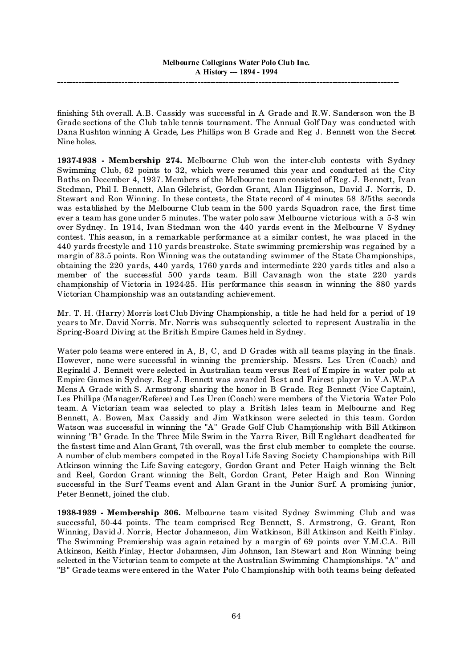finishing 5th overall. A.B. Cassidy was successful in A Grade and R.W. Sanderson won the B Grade sections of the Club table tennis tournament. The Annual Golf Day was conducted with Dana Rushton winning A Grade, Les Phillips won B Grade and Reg J. Bennett won the Secret Nine holes.

**1937-1938 - Membership 274.** Melbourne Club won the inter-club contests with Sydney Swimming Club, 62 points to 32, which were resumed this year and conducted at the City Baths on December 4, 1937. Members of the Melbourne team consisted of Reg. J. Bennett, Ivan Stedman, Phil I. Bennett, Alan Gilchrist, Gordon Grant, Alan Higginson, David J. Norris, D. Stewart and Ron Winning. In these contests, the State record of 4 minutes 58 3/5ths seconds was established by the Melbourne Club team in the 500 yards Squadron race, the first time ever a team has gone under 5 minutes. The water polo saw Melbourne victorious with a 5-3 win over Sydney. In 1914, Ivan Stedman won the 440 yards event in the Melbourne V Sydney contest. This season, in a remarkable performance at a similar contest, he was placed in the 440 yards freestyle and 110 yards breastroke. State swimming premiership was regained by a margin of 33.5 points. Ron Winning was the outstanding swimmer of the State Championships, obtaining the 220 yards, 440 yards, 1760 yards and intermediate 220 yards titles and also a member of the successful 500 yards team. Bill Cavanagh won the state 220 yards championship of Victoria in 1924-25. His performance this season in winning the 880 yards Victorian Championship was an outstanding achievement.

Mr. T. H. (Harry) Morris lost Club Diving Championship, a title he had held for a period of 19 years to Mr. David Norris. Mr. Norris was subsequently selected to represent Australia in the Spring-Board Diving at the British Empire Games held in Sydney.

Water polo teams were entered in A, B, C, and D Grades with all teams playing in the finals. However, none were successful in winning the premiership. Messrs. Les Uren (Coach) and Reginald J. Bennett were selected in Australian team versus Rest of Empire in water polo at Empire Games in Sydney. Reg J. Bennett was awarded Best and Fairest player in V.A.W.P.A Mens A Grade with S. Armstrong sharing the honor in B Grade. Reg Bennett (Vice Captain), Les Phillips (Manager/Referee) and Les Uren (Coach) were members of the Victoria Water Polo team. A Victorian team was selected to play a British Isles team in Melbourne and Reg Bennett, A. Bowen, Max Cassidy and Jim Watkinson were selected in this team. Gordon Watson was successful in winning the "A" Grade Golf Club Championship with Bill Atkinson winning "B" Grade. In the Three Mile Swim in the Yarra River, Bill Englehart deadheated for the fastest time and Alan Grant, 7th overall, was the first club member to complete the course. A number of club members competed in the Royal Life Saving Society Championships with Bill Atkinson winning the Life Saving category, Gordon Grant and Peter Haigh winning the Belt and Reel, Gordon Grant winning the Belt, Gordon Grant, Peter Haigh and Ron Winning successful in the Surf Teams event and Alan Grant in the Junior Surf. A promising junior, Peter Bennett, joined the club.

**1938-1939 - Membership 306.** Melbourne team visited Sydney Swimming Club and was successful, 50-44 points. The team comprised Reg Bennett, S. Armstrong, G. Grant, Ron Winning, David J. Norris, Hector Johanneson, Jim Watkinson, Bill Atkinson and Keith Finlay. The Swimming Premiership was again retained by a margin of 69 points over Y.M.C.A. Bill Atkinson, Keith Finlay, Hector Johannsen, Jim Johnson, Ian Stewart and Ron Winning being selected in the Victorian team to compete at the Australian Swimming Championships. "A" and "B" Grade teams were entered in the Water Polo Championship with both teams being defeated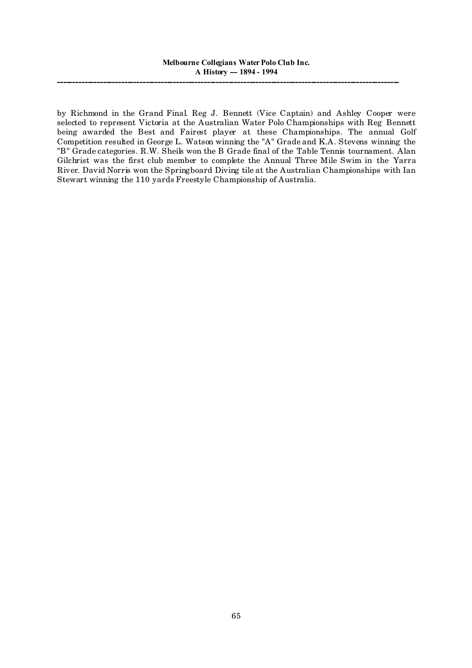by Richmond in the Grand Final. Reg J. Bennett (Vice Captain) and Ashley Cooper were selected to represent Victoria at the Australian Water Polo Championships with Reg Bennett being awarded the Best and Fairest player at these Championships. The annual Golf Competition resulted in George L. Watson winning the "A" Grade and K.A. Stevens winning the "B" Grade categories. R.W. Sheils won the B Grade final of the Table Tennis tournament. Alan Gilchrist was the first club member to complete the Annual Three Mile Swim in the Yarra River. David Norris won the Springboard Diving tile at the Australian Championships with Ian Stewart winning the 110 yards Freestyle Championship of Australia.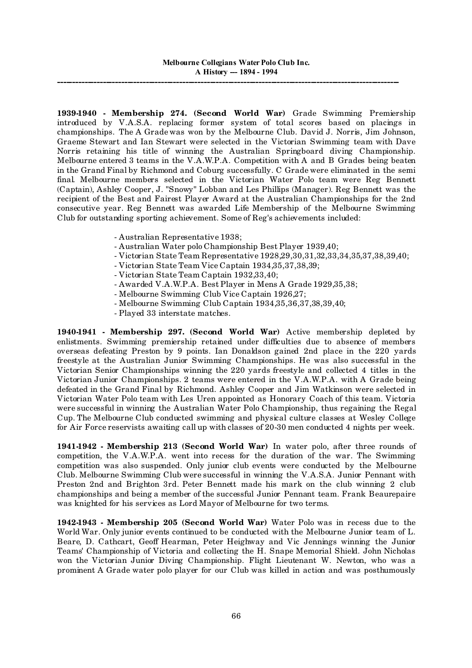**1939-1940 - Membership 274. (Second World War)** Grade Swimming Premiership introduced by V.A.S.A. replacing former system of total scores based on placings in championships. The A Grade was won by the Melbourne Club. David J. Norris, Jim Johnson, Graeme Stewart and Ian Stewart were selected in the Victorian Swimming team with Dave Norris retaining his title of winning the Australian Springboard diving Championship. Melbourne entered 3 teams in the V.A.W.P.A. Competition with A and B Grades being beaten in the Grand Final by Richmond and Coburg successfully. C Grade were eliminated in the semi final. Melbourne members selected in the Victorian Water Polo team were Reg Bennett (Captain), Ashley Cooper, J. "Snowy" Lobban and Les Phillips (Manager). Reg Bennett was the recipient of the Best and Fairest Player Award at the Australian Championships for the 2nd consecutive year. Reg Bennett was awarded Life Membership of the Melbourne Swimming Club for outstanding sporting achievement. Some of Reg's achievements included:

- Australian Representative 1938;
- Australian Water polo Championship Best Player 1939,40;
- Victorian State Team Representative 1928,29,30,31,32,33,34,35,37,38,39,40;
- Victorian State Team Vice Captain 1934,35,37,38,39;
- Victorian State Team Captain 1932,33,40;
- Awarded V.A.W.P.A. Best Player in Mens A Grade 1929,35,38;
- Melbourne Swimming Club Vice Captain 1926,27;
- Melbourne Swimming Club Captain 1934,35,36,37,38,39,40;
- Played 33 interstate matches.

**1940-1941 - Membership 297. (Second World War)** Active membership depleted by enlistments. Swimming premiership retained under difficulties due to absence of members overseas defeating Preston by 9 points. Ian Donaldson gained 2nd place in the 220 yards freestyle at the Australian Junior Swimming Championships. He was also successful in the Victorian Senior Championships winning the 220 yards freestyle and collected 4 titles in the Victorian Junior Championships. 2 teams were entered in the V.A.W.P.A. with A Grade being defeated in the Grand Final by Richmond. Ashley Cooper and Jim Watkinson were selected in Victorian Water Polo team with Les Uren appointed as Honorary Coach of this team. Victoria were successful in winning the Australian Water Polo Championship, thus regaining the Regal Cup. The Melbourne Club conducted swimming and physical culture classes at Wesley College for Air Force reservists awaiting call up with classes of 20-30 men conducted 4 nights per week.

**1941-1942 - Membership 213 (Second World War)** In water polo, after three rounds of competition, the V.A.W.P.A. went into recess for the duration of the war. The Swimming competition was also suspended. Only junior club events were conducted by the Melbourne Club. Melbourne Swimming Club were successful in winning the V.A.S.A. Junior Pennant with Preston 2nd and Brighton 3rd. Peter Bennett made his mark on the club winning 2 club championships and being a member of the successful Junior Pennant team. Frank Beaurepaire was knighted for his services as Lord Mayor of Melbourne for two terms.

**1942-1943 - Membership 205 (Second World War)** Water Polo was in recess due to the World War. Only junior events continued to be conducted with the Melbourne Junior team of L. Beare, D. Cathcart, Geoff Hearman, Peter Heighway and Vic Jennings winning the Junior Teams' Championship of Victoria and collecting the H. Snape Memorial Shield. John Nicholas won the Victorian Junior Diving Championship. Flight Lieutenant W. Newton, who was a prominent A Grade water polo player for our Club was killed in action and was posthumously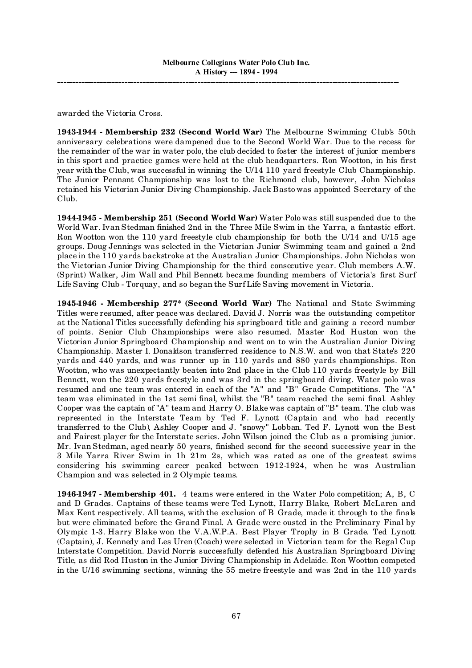awarded the Victoria Cross.

**1943-1944 - Membership 232 (Second World War)** The Melbourne Swimming Club's 50th anniversary celebrations were dampened due to the Second World War. Due to the recess for the remainder of the war in water polo, the club decided to foster the interest of junior members in this sport and practice games were held at the club headquarters. Ron Wootton, in his first year with the Club, was successful in winning the U/14 110 yard freestyle Club Championship. The Junior Pennant Championship was lost to the Richmond club, however, John Nicholas retained his Victorian Junior Diving Championship. Jack Basto was appointed Secretary of the Club.

**1944-1945 - Membership 251 (Second World War)** Water Polo was still suspended due to the World War. Ivan Stedman finished 2nd in the Three Mile Swim in the Yarra, a fantastic effort. Ron Wootton won the 110 yard freestyle club championship for both the U/14 and U/15 age groups. Doug Jennings was selected in the Victorian Junior Swimming team and gained a 2nd place in the 110 yards backstroke at the Australian Junior Championships. John Nicholas won the Victorian Junior Diving Championship for the third consecutive year. Club members A.W. (Sprint) Walker, Jim Wall and Phil Bennett became founding members of Victoria's first Surf Life Saving Club - Torquay, and so began the Surf Life Saving movement in Victoria.

**1945-1946 - Membership 277\* (Second World War)** The National and State Swimming Titles were resumed, after peace was declared. David J. Norris was the outstanding competitor at the National Titles successfully defending his springboard title and gaining a record number of points. Senior Club Championships were also resumed. Master Rod Huston won the Victorian Junior Springboard Championship and went on to win the Australian Junior Diving Championship. Master I. Donaldson transferred residence to N.S.W. and won that State's 220 yards and 440 yards, and was runner up in 110 yards and 880 yards championships. Ron Wootton, who was unexpectantly beaten into 2nd place in the Club 110 yards freestyle by Bill Bennett, won the 220 yards freestyle and was 3rd in the springboard diving. Water polo was resumed and one team was entered in each of the "A" and "B" Grade Competitions. The "A" team was eliminated in the 1st semi final, whilst the "B" team reached the semi final. Ashley Cooper was the captain of "A" team and Harry O. Blake was captain of "B" team. The club was represented in the Interstate Team by Ted F. Lynott (Captain and who had recently transferred to the Club), Ashley Cooper and J. "snowy" Lobban. Ted F. Lynott won the Best and Fairest player for the Interstate series. John Wilson joined the Club as a promising junior. Mr. Ivan Stedman, aged nearly 50 years, finished second for the second successive year in the 3 Mile Yarra River Swim in 1h 21m 2s, which was rated as one of the greatest swims considering his swimming career peaked between 1912-1924, when he was Australian Champion and was selected in 2 Olympic teams.

**1946-1947 - Membership 401.** 4 teams were entered in the Water Polo competition; A, B, C and D Grades. Captains of these teams were Ted Lynott, Harry Blake, Robert McLaren and Max Kent respectively. All teams, with the exclusion of B Grade, made it through to the finals but were eliminated before the Grand Final. A Grade were ousted in the Preliminary Final by Olympic 1-3. Harry Blake won the V.A.W.P.A. Best Player Trophy in B Grade. Ted Lynott (Captain), J. Kennedy and Les Uren (Coach) were selected in Victorian team for the Regal Cup Interstate Competition. David Norris successfully defended his Australian Springboard Diving Title, as did Rod Huston in the Junior Diving Championship in Adelaide. Ron Wootton competed in the U/16 swimming sections, winning the 55 metre freestyle and was 2nd in the 110 yards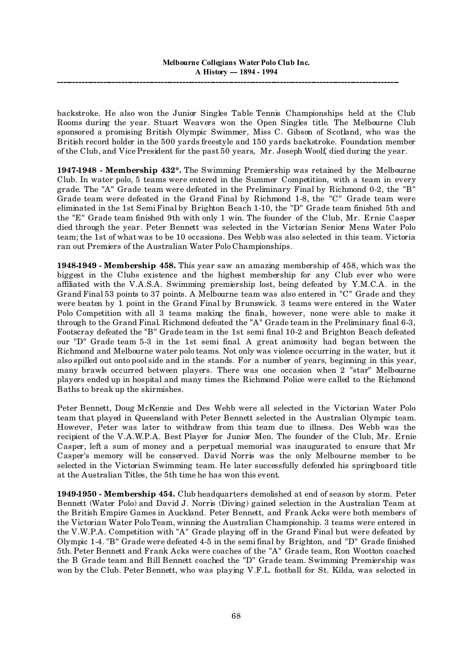backstroke. He also won the Junior Singles Table Tennis Championships held at the Club Rooms during the year. Stuart Weavers won the Open Singles title. The Melbourne Club sponsored a promising British Olympic Swimmer, Miss C. Gibson of Scotland, who was the British record holder in the 500 yards freestyle and 150 yards backstroke. Foundation member of the Club, and Vice President for the past 50 years, Mr. Joseph Woolf, died during the year.

**1947-1948 - Membership 432\*.** The Swimming Premiership was retained by the Melbourne Club. In water polo, 5 teams were entered in the Summer Competition, with a team in every grade. The "A" Grade team were defeated in the Preliminary Final by Richmond 0-2, the "B" Grade team were defeated in the Grand Final by Richmond 1-8, the "C" Grade team were eliminated in the 1st Semi Final by Brighton Beach 1-10, the "D" Grade team finished 5th and the "E" Grade team finished 9th with only 1 win. The founder of the Club, Mr. Ernie Casper died through the year. Peter Bennett was selected in the Victorian Senior Mens Water Polo team; the 1st of what was to be 10 occasions. Des Webb was also selected in this team. Victoria ran out Premiers of the Australian Water Polo Championships.

**1948-1949 - Membership 458.** This year saw an amazing membership of 458, which was the biggest in the Clubs existence and the highest membership for any Club ever who were affiliated with the V.A.S.A. Swimming premiership lost, being defeated by Y.M.C.A. in the Grand Final 53 points to 37 points. A Melbourne team was also entered in "C" Grade and they were beaten by 1 point in the Grand Final by Brunswick. 3 teams were entered in the Water Polo Competition with all 3 teams making the finals, however, none were able to make it through to the Grand Final. Richmond defeated the "A" Grade team in the Preliminary final 6-3, Footscray defeated the "B" Grade team in the 1st semi final 10-2 and Brighton Beach defeated our "D" Grade team 5-3 in the 1st semi final. A great animosity had began between the Richmond and Melbourne water polo teams. Not only was violence occurring in the water, but it also spilled out onto pool side and in the stands. For a number of years, beginning in this year, many brawls occurred between players. There was one occasion when 2 "star" Melbourne players ended up in hospital and many times the Richmond Police were called to the Richmond Baths to break up the skirmishes.

Peter Bennett, Doug McKenzie and Des Webb were all selected in the Victorian Water Polo team that played in Queensland with Peter Bennett selected in the Australian Olympic team. However, Peter was later to withdraw from this team due to illness. Des Webb was the recipient of the V.A.W.P.A. Best Player for Junior Men. The founder of the Club, Mr. Ernie Casper, left a sum of money and a perpetual memorial was inaugurated to ensure that Mr Casper's memory will be conserved. David Norris was the only Melbourne member to be selected in the Victorian Swimming team. He later successfully defended his springboard title at the Australian Titles, the 5th time he has won this event.

**1949-1950 - Membership 454.** Club headquarters demolished at end of season by storm. Peter Bennett (Water Polo) and David J. Norris (Diving) gained selection in the Australian Team at the British Empire Games in Auckland. Peter Bennett, and Frank Acks were both members of the Victorian Water Polo Team, winning the Australian Championship. 3 teams were entered in the V.W.P.A. Competition with "A" Grade playing off in the Grand Final but were defeated by Olympic 1-4. "B" Grade were defeated 4-5 in the semi final by Brighton, and "D" Grade finished 5th. Peter Bennett and Frank Acks were coaches of the "A" Grade team, Ron Wootton coached the B Grade team and Bill Bennett coached the "D" Grade team. Swimming Premiership was won by the Club. Peter Bennett, who was playing V.F.L. football for St. Kilda, was selected in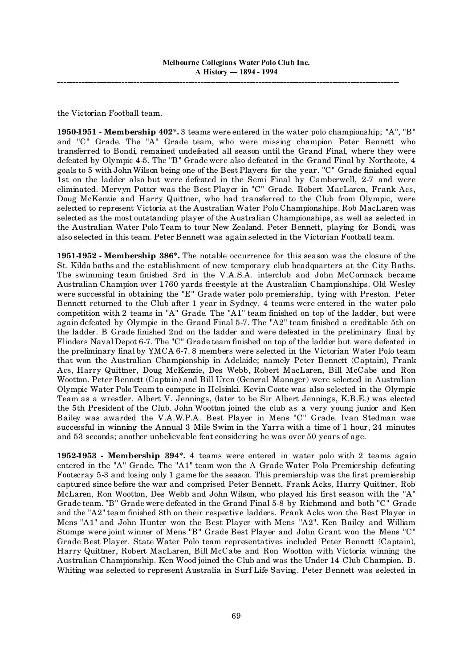the Victorian Football team.

**1950-1951 - Membership 402\*.** 3 teams were entered in the water polo championship; "A", "B" and "C" Grade. The "A" Grade team, who were missing champion Peter Bennett who transferred to Bondi, remained undefeated all season until the Grand Final, where they were defeated by Olympic 4-5. The "B" Grade were also defeated in the Grand Final by Northcote, 4 goals to 5 with John Wilson being one of the Best Players for the year. "C" Grade finished equal 1st on the ladder also but were defeated in the Semi Final by Camberwell, 2-7 and were eliminated. Mervyn Potter was the Best Player in "C" Grade. Robert MacLaren, Frank Acs, Doug McKenzie and Harry Quittner, who had transferred to the Club from Olympic, were selected to represent Victoria at the Australian Water Polo Championships. Rob MacLaren was selected as the most outstanding player of the Australian Championships, as well as selected in the Australian Water Polo Team to tour New Zealand. Peter Bennett, playing for Bondi, was also selected in this team. Peter Bennett was again selected in the Victorian Football team.

**1951-1952 - Membership 386\*.** The notable occurrence for this season was the closure of the St. Kilda baths and the establishment of new temporary club headquarters at the City Baths. The swimming team finished 3rd in the V.A.S.A. interclub and John McCormack became Australian Champion over 1760 yards freestyle at the Australian Championships. Old Wesley were successful in obtaining the "E" Grade water polo premiership, tying with Preston. Peter Bennett returned to the Club after 1 year in Sydney. 4 teams were entered in the water polo competition with 2 teams in "A" Grade. The "A1" team finished on top of the ladder, but were again defeated by Olympic in the Grand Final 5-7. The "A2" team finished a creditable 5th on the ladder. B Grade finished 2nd on the ladder and were defeated in the preliminary final by Flinders Naval Depot 6-7. The "C" Grade team finished on top of the ladder but were defeated in the preliminary final by YMCA 6-7. 8 members were selected in the Victorian Water Polo team that won the Australian Championship in Adelaide; namely Peter Bennett (Captain), Frank Acs, Harry Quittner, Doug McKenzie, Des Webb, Robert MacLaren, Bill McCabe and Ron Wootton. Peter Bennett (Captain) and Bill Uren (General Manager) were selected in Australian Olympic Water Polo Team to compete in Helsinki. Kevin Coote was also selected in the Olympic Team as a wrestler. Albert V. Jennings, (later to be Sir Albert Jennings, K.B.E.) was elected the 5th President of the Club. John Wootton joined the club as a very young junior and Ken Bailey was awarded the V.A.W.P.A. Best Player in Mens "C" Grade. Ivan Stedman was successful in winning the Annual 3 Mile Swim in the Yarra with a time of 1 hour, 24 minutes and 53 seconds; another unbelievable feat considering he was over 50 years of age.

**1952-1953 - Membership 394\*.** 4 teams were entered in water polo with 2 teams again entered in the "A" Grade. The "A1" team won the A Grade Water Polo Premiership defeating Footscray 5-3 and losing only 1 game for the season. This premiership was the first premiership captured since before the war and comprised Peter Bennett, Frank Acks, Harry Quittner, Rob McLaren, Ron Wootton, Des Webb and John Wilson, who played his first season with the "A" Grade team. "B" Grade were defeated in the Grand Final 5-8 by Richmond and both "C" Grade and the "A2" team finished 8th on their respective ladders. Frank Acks won the Best Player in Mens "A1" and John Hunter won the Best Player with Mens "A2". Ken Bailey and William Stomps were joint winner of Mens "B" Grade Best Player and John Grant won the Mens "C" Grade Best Player. State Water Polo team representatives included Peter Bennett (Captain), Harry Quittner, Robert MacLaren, Bill McCabe and Ron Wootton with Victoria winning the Australian Championship. Ken Wood joined the Club and was the Under 14 Club Champion. B. Whiting was selected to represent Australia in Surf Life Saving. Peter Bennett was selected in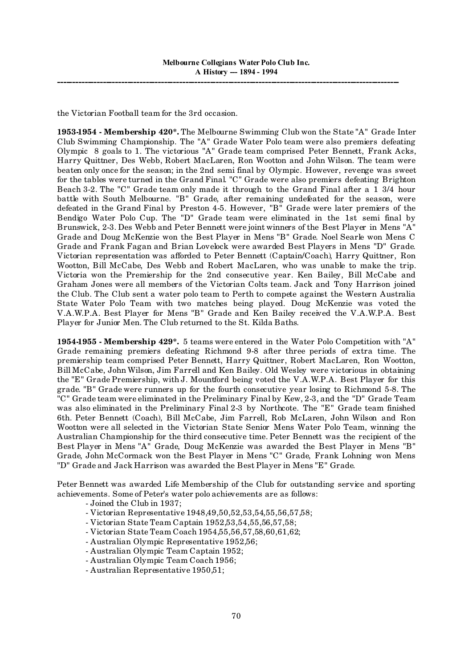the Victorian Football team for the 3rd occasion.

**1953-1954 - Membership 420\*.** The Melbourne Swimming Club won the State "A" Grade Inter Club Swimming Championship. The "A" Grade Water Polo team were also premiers defeating Olympic 8 goals to 1. The victorious "A" Grade team comprised Peter Bennett, Frank Acks, Harry Quittner, Des Webb, Robert MacLaren, Ron Wootton and John Wilson. The team were beaten only once for the season; in the 2nd semi final by Olympic. However, revenge was sweet for the tables were turned in the Grand Final. "C" Grade were also premiers defeating Brighton Beach 3-2. The "C" Grade team only made it through to the Grand Final after a 1 3/4 hour battle with South Melbourne. "B" Grade, after remaining undefeated for the season, were defeated in the Grand Final by Preston 4-5. However, "B" Grade were later premiers of the Bendigo Water Polo Cup. The "D" Grade team were eliminated in the 1st semi final by Brunswick, 2-3. Des Webb and Peter Bennett were joint winners of the Best Player in Mens "A" Grade and Doug McKenzie won the Best Player in Mens "B" Grade. Noel Searle won Mens C Grade and Frank Fagan and Brian Lovelock were awarded Best Players in Mens "D" Grade. Victorian representation was afforded to Peter Bennett (Captain/Coach), Harry Quittner, Ron Wootton, Bill McCabe, Des Webb and Robert MacLaren, who was unable to make the trip. Victoria won the Premiership for the 2nd consecutive year. Ken Bailey, Bill McCabe and Graham Jones were all members of the Victorian Colts team. Jack and Tony Harrison joined the Club. The Club sent a water polo team to Perth to compete against the Western Australia State Water Polo Team with two matches being played. Doug McKenzie was voted the V.A.W.P.A. Best Player for Mens "B" Grade and Ken Bailey received the V.A.W.P.A. Best Player for Junior Men. The Club returned to the St. Kilda Baths.

**1954-1955 - Membership 429\*.** 5 teams were entered in the Water Polo Competition with "A" Grade remaining premiers defeating Richmond 9-8 after three periods of extra time. The premiership team comprised Peter Bennett, Harry Quittner, Robert MacLaren, Ron Wootton, Bill McCabe, John Wilson, Jim Farrell and Ken Bailey. Old Wesley were victorious in obtaining the "E" Grade Premiership, with J. Mountford being voted the V.A.W.P.A. Best Player for this grade. "B" Grade were runners up for the fourth consecutive year losing to Richmond 5-8. The "C" Grade team were eliminated in the Preliminary Final by Kew, 2-3, and the "D" Grade Team was also eliminated in the Preliminary Final 2-3 by Northcote. The "E" Grade team finished 6th. Peter Bennett (Coach), Bill McCabe, Jim Farrell, Rob McLaren, John Wilson and Ron Wootton were all selected in the Victorian State Senior Mens Water Polo Team, winning the Australian Championship for the third consecutive time. Peter Bennett was the recipient of the Best Player in Mens "A" Grade, Doug McKenzie was awarded the Best Player in Mens "B" Grade, John McCormack won the Best Player in Mens "C" Grade, Frank Lohning won Mens "D" Grade and Jack Harrison was awarded the Best Player in Mens "E" Grade.

Peter Bennett was awarded Life Membership of the Club for outstanding service and sporting achievements. Some of Peter's water polo achievements are as follows:

- Joined the Club in 1937;

- Victorian Representative 1948,49,50,52,53,54,55,56,57,58;
- Victorian State Team Captain 1952,53,54,55,56,57,58;
- Victorian State Team Coach 1954,55,56,57,58,60,61,62;
- Australian Olympic Representative 1952,56;
- Australian Olympic Team Captain 1952;
- Australian Olympic Team Coach 1956;
- Australian Representative 1950,51;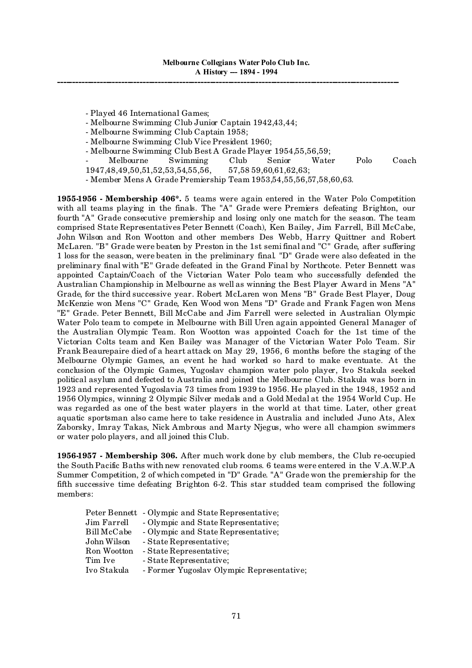- Played 46 International Games;

- Melbourne Swimming Club Junior Captain 1942,43,44;

- Melbourne Swimming Club Captain 1958;

- Melbourne Swimming Club Vice President 1960;

- Melbourne Swimming Club Best A Grade Player 1954,55,56,59;

- Melbourne Swimming Club Senior Water Polo Coach 1947,48,49,50,51,52,53,54,55,56, 57,58 59,60,61,62,63;

- Member Mens A Grade Premiership Team 1953,54,55,56,57,58,60,63.

**1955-1956 - Membership 406\*.** 5 teams were again entered in the Water Polo Competition with all teams playing in the finals. The "A" Grade were Premiers defeating Brighton, our fourth "A" Grade consecutive premiership and losing only one match for the season. The team comprised State Representatives Peter Bennett (Coach), Ken Bailey, Jim Farrell, Bill McCabe, John Wilson and Ron Wootton and other members Des Webb, Harry Quittner and Robert McLaren. "B" Grade were beaten by Preston in the 1st semi final and "C" Grade, after suffering 1 loss for the season, were beaten in the preliminary final. "D" Grade were also defeated in the preliminary final with "E" Grade defeated in the Grand Final by Northcote. Peter Bennett was appointed Captain/Coach of the Victorian Water Polo team who successfully defended the Australian Championship in Melbourne as well as winning the Best Player Award in Mens "A" Grade, for the third successive year. Robert McLaren won Mens "B" Grade Best Player, Doug McKenzie won Mens "C" Grade, Ken Wood won Mens "D" Grade and Frank Fagen won Mens "E" Grade. Peter Bennett, Bill McCabe and Jim Farrell were selected in Australian Olympic Water Polo team to compete in Melbourne with Bill Uren again appointed General Manager of the Australian Olympic Team. Ron Wootton was appointed Coach for the 1st time of the Victorian Colts team and Ken Bailey was Manager of the Victorian Water Polo Team. Sir Frank Beaurepaire died of a heart attack on May 29, 1956, 6 months before the staging of the Melbourne Olympic Games, an event he had worked so hard to make eventuate. At the conclusion of the Olympic Games, Yugoslav champion water polo player, Ivo Stakula seeked political asylum and defected to Australia and joined the Melbourne Club. Stakula was born in 1923 and represented Yugoslavia 73 times from 1939 to 1956. He played in the 1948, 1952 and 1956 Olympics, winning 2 Olympic Silver medals and a Gold Medal at the 1954 World Cup. He was regarded as one of the best water players in the world at that time. Later, other great aquatic sportsman also came here to take residence in Australia and included Juno Ats, Alex Zaborsky, Imray Takas, Nick Ambrous and Marty Njegus, who were all champion swimmers or water polo players, and all joined this Club.

**1956-1957 - Membership 306.** After much work done by club members, the Club re-occupied the South Pacific Baths with new renovated club rooms. 6 teams were entered in the V.A.W.P.A Summer Competition, 2 of which competed in "D" Grade. "A" Grade won the premiership for the fifth successive time defeating Brighton 6-2. This star studded team comprised the following members:

|             | Peter Bennett - Olympic and State Representative; |
|-------------|---------------------------------------------------|
| Jim Farrell | - Olympic and State Representative;               |
| Bill McCabe | - Olympic and State Representative;               |
| John Wilson | - State Representative;                           |
| Ron Wootton | - State Representative;                           |
| Tim Ive     | - State Representative;                           |
| Ivo Stakula | - Former Yugoslav Olympic Representative;         |
|             |                                                   |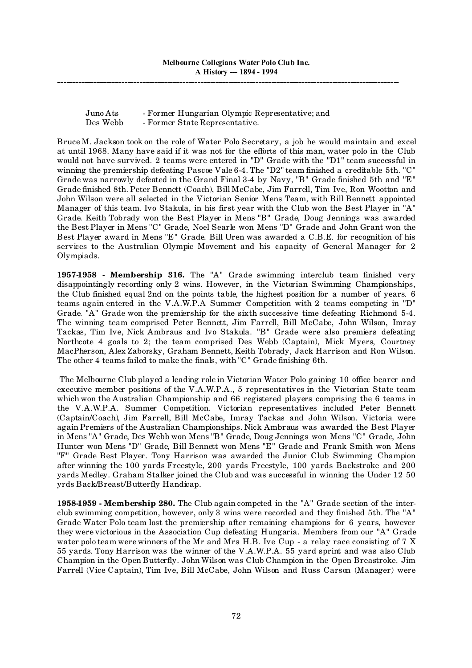Juno Ats - Former Hungarian Olympic Representative; and Des Webb - Former State Representative.

Bruce M. Jackson took on the role of Water Polo Secretary, a job he would maintain and excel at until 1968. Many have said if it was not for the efforts of this man, water polo in the Club would not have survived. 2 teams were entered in "D" Grade with the "D1" team successful in winning the premiership defeating Pascoe Vale 6-4. The "D2" team finished a creditable 5th. "C" Grade was narrowly defeated in the Grand Final 3-4 by Navy, "B" Grade finished 5th and "E" Grade finished 8th. Peter Bennett (Coach), Bill McCabe, Jim Farrell, Tim Ive, Ron Wootton and John Wilson were all selected in the Victorian Senior Mens Team, with Bill Bennett appointed Manager of this team. Ivo Stakula, in his first year with the Club won the Best Player in "A" Grade. Keith Tobrady won the Best Player in Mens "B" Grade, Doug Jennings was awarded the Best Player in Mens "C" Grade, Noel Searle won Mens "D" Grade and John Grant won the Best Player award in Mens "E" Grade. Bill Uren was awarded a C.B.E. for recognition of his services to the Australian Olympic Movement and his capacity of General Manager for 2 Olympiads.

**1957-1958 - Membership 316.** The "A" Grade swimming interclub team finished very disappointingly recording only 2 wins. However, in the Victorian Swimming Championships, the Club finished equal 2nd on the points table, the highest position for a number of years. 6 teams again entered in the V.A.W.P.A Summer Competition with 2 teams competing in "D" Grade. "A" Grade won the premiership for the sixth successive time defeating Richmond 5-4. The winning team comprised Peter Bennett, Jim Farrell, Bill McCabe, John Wilson, Imray Tackas, Tim Ive, Nick Ambraus and Ivo Stakula. "B" Grade were also premiers defeating Northcote 4 goals to 2; the team comprised Des Webb (Captain), Mick Myers, Courtney MacPherson, Alex Zaborsky, Graham Bennett, Keith Tobrady, Jack Harrison and Ron Wilson. The other 4 teams failed to make the finals, with "C" Grade finishing 6th.

The Melbourne Club played a leading role in Victorian Water Polo gaining 10 office bearer and executive member positions of the V.A.W.P.A., 5 representatives in the Victorian State team which won the Australian Championship and 66 registered players comprising the 6 teams in the V.A.W.P.A. Summer Competition. Victorian representatives included Peter Bennett (Captain/Coach), Jim Farrell, Bill McCabe, Imray Tackas and John Wilson. Victoria were again Premiers of the Australian Championships. Nick Ambraus was awarded the Best Player in Mens "A" Grade, Des Webb won Mens "B" Grade, Doug Jennings won Mens "C" Grade, John Hunter won Mens "D" Grade, Bill Bennett won Mens "E" Grade and Frank Smith won Mens "F" Grade Best Player. Tony Harrison was awarded the Junior Club Swimming Champion after winning the 100 yards Freestyle, 200 yards Freestyle, 100 yards Backstroke and 200 yards Medley. Graham Stalker joined the Club and was successful in winning the Under 12 50 yrds Back/Breast/Butterfly Handicap.

**1958-1959 - Membership 280.** The Club again competed in the "A" Grade section of the interclub swimming competition, however, only 3 wins were recorded and they finished 5th. The "A" Grade Water Polo team lost the premiership after remaining champions for 6 years, however they were victorious in the Association Cup defeating Hungaria. Members from our "A" Grade water polo team were winners of the Mr and Mrs H.B. Ive Cup - a relay race consisting of 7 X 55 yards. Tony Harrison was the winner of the V.A.W.P.A. 55 yard sprint and was also Club Champion in the Open Butterfly. John Wilson was Club Champion in the Open Breastroke. Jim Farrell (Vice Captain), Tim Ive, Bill McCabe, John Wilson and Russ Carson (Manager) were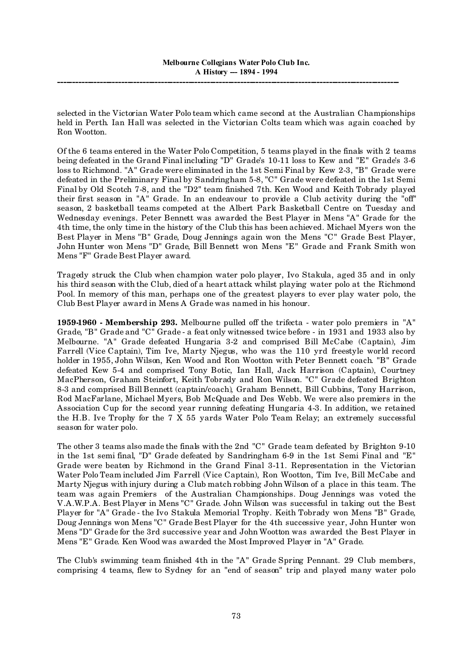selected in the Victorian Water Polo team which came second at the Australian Championships held in Perth. Ian Hall was selected in the Victorian Colts team which was again coached by Ron Wootton.

Of the 6 teams entered in the Water Polo Competition, 5 teams played in the finals with 2 teams being defeated in the Grand Final including "D" Grade's 10-11 loss to Kew and "E" Grade's 3-6 loss to Richmond. "A" Grade were eliminated in the 1st Semi Final by Kew 2-3, "B" Grade were defeated in the Preliminary Final by Sandringham 5-8, "C" Grade were defeated in the 1st Semi Final by Old Scotch 7-8, and the "D2" team finished 7th. Ken Wood and Keith Tobrady played their first season in "A" Grade. In an endeavour to provide a Club activity during the "off" season, 2 basketball teams competed at the Albert Park Basketball Centre on Tuesday and Wednesday evenings. Peter Bennett was awarded the Best Player in Mens "A" Grade for the 4th time, the only time in the history of the Club this has been achieved. Michael Myers won the Best Player in Mens "B" Grade, Doug Jennings again won the Mens "C" Grade Best Player, John Hunter won Mens "D" Grade, Bill Bennett won Mens "E" Grade and Frank Smith won Mens "F" Grade Best Player award.

Tragedy struck the Club when champion water polo player, Ivo Stakula, aged 35 and in only his third season with the Club, died of a heart attack whilst playing water polo at the Richmond Pool. In memory of this man, perhaps one of the greatest players to ever play water polo, the Club Best Player award in Mens A Grade was named in his honour.

**1959-1960 - Membership 293.** Melbourne pulled off the trifecta - water polo premiers in "A" Grade, "B" Grade and "C" Grade - a feat only witnessed twice before - in 1931 and 1933 also by Melbourne. "A" Grade defeated Hungaria 3-2 and comprised Bill McCabe (Captain), Jim Farrell (Vice Captain), Tim Ive, Marty Njegus, who was the 110 yrd freestyle world record holder in 1955, John Wilson, Ken Wood and Ron Wootton with Peter Bennett coach. "B" Grade defeated Kew 5-4 and comprised Tony Botic, Ian Hall, Jack Harrison (Captain), Courtney MacPherson, Graham Steinfort, Keith Tobrady and Ron Wilson. "C" Grade defeated Brighton 8-3 and comprised Bill Bennett (captain/coach), Graham Bennett, Bill Cubbins, Tony Harrison, Rod MacFarlane, Michael Myers, Bob McQuade and Des Webb. We were also premiers in the Association Cup for the second year running defeating Hungaria 4-3. In addition, we retained the H.B. Ive Trophy for the 7 X 55 yards Water Polo Team Relay; an extremely successful season for water polo.

The other 3 teams also made the finals with the 2nd "C" Grade team defeated by Brighton 9-10 in the 1st semi final, "D" Grade defeated by Sandringham 6-9 in the 1st Semi Final and "E" Grade were beaten by Richmond in the Grand Final 3-11. Representation in the Victorian Water Polo Team included Jim Farrell (Vice Captain), Ron Wootton, Tim Ive, Bill McCabe and Marty Njegus with injury during a Club match robbing John Wilson of a place in this team. The team was again Premiers of the Australian Championships. Doug Jennings was voted the V.A.W.P.A. Best Player in Mens "C" Grade. John Wilson was successful in taking out the Best Player for "A" Grade - the Ivo Stakula Memorial Trophy. Keith Tobrady won Mens "B" Grade, Doug Jennings won Mens "C" Grade Best Player for the 4th successive year, John Hunter won Mens "D" Grade for the 3rd successive year and John Wootton was awarded the Best Player in Mens "E" Grade. Ken Wood was awarded the Most Improved Player in "A" Grade.

The Club's swimming team finished 4th in the "A" Grade Spring Pennant. 29 Club members, comprising 4 teams, flew to Sydney for an "end of season" trip and played many water polo